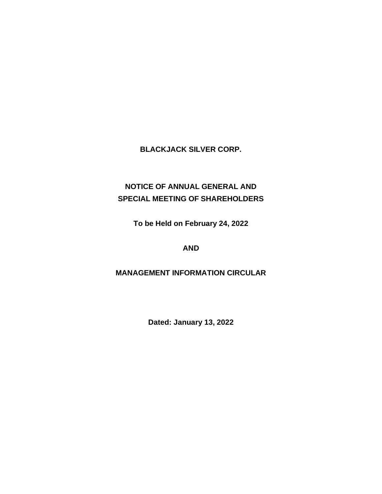# **BLACKJACK SILVER CORP.**

# **NOTICE OF ANNUAL GENERAL AND SPECIAL MEETING OF SHAREHOLDERS**

**To be Held on February 24, 2022**

# **AND**

# **MANAGEMENT INFORMATION CIRCULAR**

**Dated: January 13, 2022**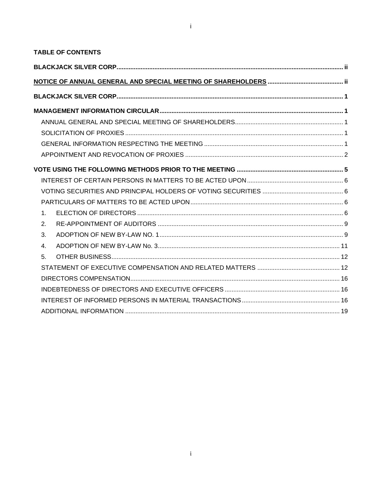$\mathbf{I}$ 

| <b>TABLE OF CONTENTS</b> |  |
|--------------------------|--|
|                          |  |
|                          |  |
|                          |  |
|                          |  |
|                          |  |
|                          |  |
|                          |  |
|                          |  |
|                          |  |
|                          |  |
|                          |  |
|                          |  |
| 1                        |  |
| 2.                       |  |
| 3.                       |  |
| 4.                       |  |
| 5 <sub>1</sub>           |  |
|                          |  |
|                          |  |
|                          |  |
|                          |  |
|                          |  |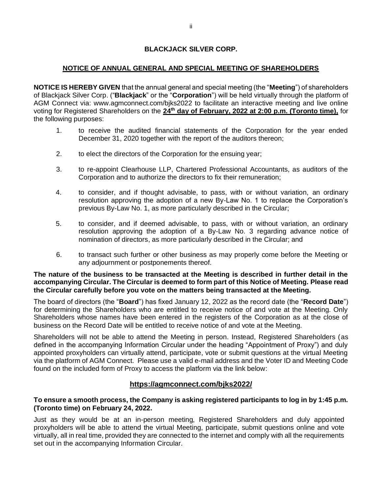## **BLACKJACK SILVER CORP.**

## **NOTICE OF ANNUAL GENERAL AND SPECIAL MEETING OF SHAREHOLDERS**

**NOTICE IS HEREBY GIVEN** that the annual general and special meeting (the "**Meeting**") of shareholders of Blackjack Silver Corp. ("**Blackjack**" or the "**Corporation**") will be held virtually through the platform of AGM Connect via: [www.agmconnect.com/bjks2022](http://www.agmconnect.com/bjks2022) to facilitate an interactive meeting and live online voting for Registered Shareholders on the **24th day of February, 2022 at 2:00 p.m. (Toronto time),** for the following purposes:

- 1. to receive the audited financial statements of the Corporation for the year ended December 31, 2020 together with the report of the auditors thereon;
- 2. to elect the directors of the Corporation for the ensuing year;
- 3. to re-appoint Clearhouse LLP, Chartered Professional Accountants, as auditors of the Corporation and to authorize the directors to fix their remuneration;
- 4. to consider, and if thought advisable, to pass, with or without variation, an ordinary resolution approving the adoption of a new By-Law No. 1 to replace the Corporation's previous By-Law No. 1, as more particularly described in the Circular;
- 5. to consider, and if deemed advisable, to pass, with or without variation, an ordinary resolution approving the adoption of a By-Law No. 3 regarding advance notice of nomination of directors, as more particularly described in the Circular; and
- 6. to transact such further or other business as may properly come before the Meeting or any adjournment or postponements thereof.

#### **The nature of the business to be transacted at the Meeting is described in further detail in the accompanying Circular. The Circular is deemed to form part of this Notice of Meeting. Please read the Circular carefully before you vote on the matters being transacted at the Meeting.**

The board of directors (the "**Board**") has fixed January 12, 2022 as the record date (the "**Record Date**") for determining the Shareholders who are entitled to receive notice of and vote at the Meeting. Only Shareholders whose names have been entered in the registers of the Corporation as at the close of business on the Record Date will be entitled to receive notice of and vote at the Meeting.

Shareholders will not be able to attend the Meeting in person. Instead, Registered Shareholders (as defined in the accompanying Information Circular under the heading "Appointment of Proxy") and duly appointed proxyholders can virtually attend, participate, vote or submit questions at the virtual Meeting via the platform of AGM Connect. Please use a valid e-mail address and the Voter ID and Meeting Code found on the included form of Proxy to access the platform via the link below:

## **<https://agmconnect.com/bjks2022/>**

## **To ensure a smooth process, the Company is asking registered participants to log in by 1:45 p.m. (Toronto time) on February 24, 2022.**

Just as they would be at an in-person meeting, Registered Shareholders and duly appointed proxyholders will be able to attend the virtual Meeting, participate, submit questions online and vote virtually, all in real time, provided they are connected to the internet and comply with all the requirements set out in the accompanying Information Circular.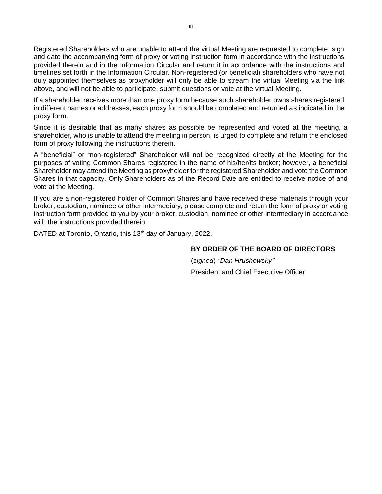Registered Shareholders who are unable to attend the virtual Meeting are requested to complete, sign and date the accompanying form of proxy or voting instruction form in accordance with the instructions provided therein and in the Information Circular and return it in accordance with the instructions and timelines set forth in the Information Circular. Non-registered (or beneficial) shareholders who have not duly appointed themselves as proxyholder will only be able to stream the virtual Meeting via the link above, and will not be able to participate, submit questions or vote at the virtual Meeting.

If a shareholder receives more than one proxy form because such shareholder owns shares registered in different names or addresses, each proxy form should be completed and returned as indicated in the proxy form.

Since it is desirable that as many shares as possible be represented and voted at the meeting, a shareholder, who is unable to attend the meeting in person, is urged to complete and return the enclosed form of proxy following the instructions therein.

A "beneficial" or "non-registered" Shareholder will not be recognized directly at the Meeting for the purposes of voting Common Shares registered in the name of his/her/its broker; however, a beneficial Shareholder may attend the Meeting as proxyholder for the registered Shareholder and vote the Common Shares in that capacity. Only Shareholders as of the Record Date are entitled to receive notice of and vote at the Meeting.

If you are a non-registered holder of Common Shares and have received these materials through your broker, custodian, nominee or other intermediary, please complete and return the form of proxy or voting instruction form provided to you by your broker, custodian, nominee or other intermediary in accordance with the instructions provided therein.

DATED at Toronto, Ontario, this 13<sup>th</sup> day of January, 2022.

## **BY ORDER OF THE BOARD OF DIRECTORS**

(*signed*) *"Dan Hrushewsky"* President and Chief Executive Officer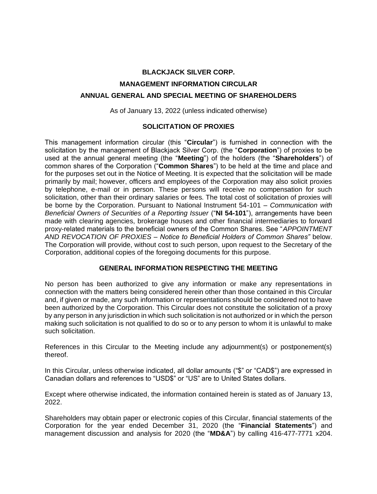# **BLACKJACK SILVER CORP. MANAGEMENT INFORMATION CIRCULAR ANNUAL GENERAL AND SPECIAL MEETING OF SHAREHOLDERS**

As of January 13, 2022 (unless indicated otherwise)

## **SOLICITATION OF PROXIES**

This management information circular (this "**Circular**") is furnished in connection with the solicitation by the management of Blackjack Silver Corp. (the "**Corporation**") of proxies to be used at the annual general meeting (the "**Meeting**") of the holders (the "**Shareholders**") of common shares of the Corporation ("**Common Shares**") to be held at the time and place and for the purposes set out in the Notice of Meeting. It is expected that the solicitation will be made primarily by mail; however, officers and employees of the Corporation may also solicit proxies by telephone, e-mail or in person. These persons will receive no compensation for such solicitation, other than their ordinary salaries or fees. The total cost of solicitation of proxies will be borne by the Corporation. Pursuant to National Instrument 54-101 – *Communication with Beneficial Owners of Securities of a Reporting Issuer* ("NI 54-101"), arrangements have been made with clearing agencies, brokerage houses and other financial intermediaries to forward proxy-related materials to the beneficial owners of the Common Shares. See "*APPOINTMENT AND REVOCATION OF PROXIES* – *Notice to Beneficial Holders of Common Shares"* below. The Corporation will provide, without cost to such person, upon request to the Secretary of the Corporation, additional copies of the foregoing documents for this purpose.

#### **GENERAL INFORMATION RESPECTING THE MEETING**

No person has been authorized to give any information or make any representations in connection with the matters being considered herein other than those contained in this Circular and, if given or made, any such information or representations should be considered not to have been authorized by the Corporation. This Circular does not constitute the solicitation of a proxy by any person in any jurisdiction in which such solicitation is not authorized or in which the person making such solicitation is not qualified to do so or to any person to whom it is unlawful to make such solicitation.

References in this Circular to the Meeting include any adjournment(s) or postponement(s) thereof.

In this Circular, unless otherwise indicated, all dollar amounts ("\$" or "CAD\$") are expressed in Canadian dollars and references to "USD\$" or "US" are to United States dollars.

Except where otherwise indicated, the information contained herein is stated as of January 13, 2022.

Shareholders may obtain paper or electronic copies of this Circular, financial statements of the Corporation for the year ended December 31, 2020 (the "**Financial Statements**") and management discussion and analysis for 2020 (the "**MD&A**") by calling 416-477-7771 x204.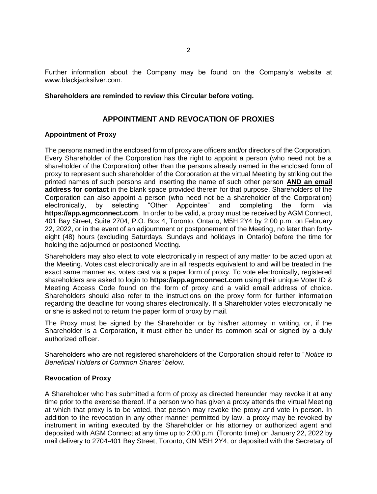Further information about the Company may be found on the Company's website at [www.blackjacksilver.com.](http://www.blackjacksilver.com/)

#### **Shareholders are reminded to review this Circular before voting.**

## **APPOINTMENT AND REVOCATION OF PROXIES**

#### **Appointment of Proxy**

The persons named in the enclosed form of proxy are officers and/or directors of the Corporation. Every Shareholder of the Corporation has the right to appoint a person (who need not be a shareholder of the Corporation) other than the persons already named in the enclosed form of proxy to represent such shareholder of the Corporation at the virtual Meeting by striking out the printed names of such persons and inserting the name of such other person **AND an email address for contact** in the blank space provided therein for that purpose. Shareholders of the Corporation can also appoint a person (who need not be a shareholder of the Corporation) electronically, by selecting "Other Appointee" and completing the form via **[https://app.agmconnect.com](https://app.agmconnect.com/)**.In order to be valid, a proxy must be received by AGM Connect, 401 Bay Street, Suite 2704, P.O. Box 4, Toronto, Ontario, M5H 2Y4 by 2:00 p.m. on February 22, 2022, or in the event of an adjournment or postponement of the Meeting, no later than fortyeight (48) hours (excluding Saturdays, Sundays and holidays in Ontario) before the time for holding the adjourned or postponed Meeting.

Shareholders may also elect to vote electronically in respect of any matter to be acted upon at the Meeting. Votes cast electronically are in all respects equivalent to and will be treated in the exact same manner as, votes cast via a paper form of proxy. To vote electronically, registered shareholders are asked to login to **[https://app.agmconnect.com](https://app.agmconnect.com/)** using their unique Voter ID & Meeting Access Code found on the form of proxy and a valid email address of choice. Shareholders should also refer to the instructions on the proxy form for further information regarding the deadline for voting shares electronically. If a Shareholder votes electronically he or she is asked not to return the paper form of proxy by mail.

The Proxy must be signed by the Shareholder or by his/her attorney in writing, or, if the Shareholder is a Corporation, it must either be under its common seal or signed by a duly authorized officer.

Shareholders who are not registered shareholders of the Corporation should refer to "*Notice to Beneficial Holders of Common Shares" below.*

#### **Revocation of Proxy**

A Shareholder who has submitted a form of proxy as directed hereunder may revoke it at any time prior to the exercise thereof. If a person who has given a proxy attends the virtual Meeting at which that proxy is to be voted, that person may revoke the proxy and vote in person. In addition to the revocation in any other manner permitted by law, a proxy may be revoked by instrument in writing executed by the Shareholder or his attorney or authorized agent and deposited with AGM Connect at any time up to 2:00 p.m. (Toronto time) on January 22, 2022 by mail delivery to 2704-401 Bay Street, Toronto, ON M5H 2Y4, or deposited with the Secretary of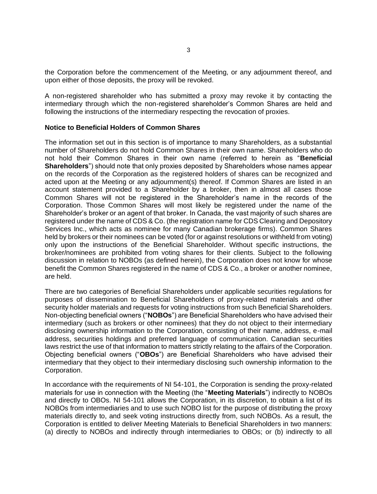the Corporation before the commencement of the Meeting, or any adjournment thereof, and upon either of those deposits, the proxy will be revoked.

A non-registered shareholder who has submitted a proxy may revoke it by contacting the intermediary through which the non-registered shareholder's Common Shares are held and following the instructions of the intermediary respecting the revocation of proxies.

#### **Notice to Beneficial Holders of Common Shares**

The information set out in this section is of importance to many Shareholders, as a substantial number of Shareholders do not hold Common Shares in their own name. Shareholders who do not hold their Common Shares in their own name (referred to herein as "**Beneficial Shareholders**") should note that only proxies deposited by Shareholders whose names appear on the records of the Corporation as the registered holders of shares can be recognized and acted upon at the Meeting or any adjournment(s) thereof. If Common Shares are listed in an account statement provided to a Shareholder by a broker, then in almost all cases those Common Shares will not be registered in the Shareholder's name in the records of the Corporation. Those Common Shares will most likely be registered under the name of the Shareholder's broker or an agent of that broker. In Canada, the vast majority of such shares are registered under the name of CDS & Co. (the registration name for CDS Clearing and Depository Services Inc., which acts as nominee for many Canadian brokerage firms). Common Shares held by brokers or their nominees can be voted (for or against resolutions or withheld from voting) only upon the instructions of the Beneficial Shareholder. Without specific instructions, the broker/nominees are prohibited from voting shares for their clients. Subject to the following discussion in relation to NOBOs (as defined herein), the Corporation does not know for whose benefit the Common Shares registered in the name of CDS & Co., a broker or another nominee, are held.

There are two categories of Beneficial Shareholders under applicable securities regulations for purposes of dissemination to Beneficial Shareholders of proxy-related materials and other security holder materials and requests for voting instructions from such Beneficial Shareholders. Non-objecting beneficial owners ("**NOBOs**") are Beneficial Shareholders who have advised their intermediary (such as brokers or other nominees) that they do not object to their intermediary disclosing ownership information to the Corporation, consisting of their name, address, e-mail address, securities holdings and preferred language of communication. Canadian securities laws restrict the use of that information to matters strictly relating to the affairs of the Corporation. Objecting beneficial owners ("**OBOs**") are Beneficial Shareholders who have advised their intermediary that they object to their intermediary disclosing such ownership information to the Corporation.

In accordance with the requirements of NI 54-101, the Corporation is sending the proxy-related materials for use in connection with the Meeting (the "**Meeting Materials**") indirectly to NOBOs and directly to OBOs. NI 54-101 allows the Corporation, in its discretion, to obtain a list of its NOBOs from intermediaries and to use such NOBO list for the purpose of distributing the proxy materials directly to, and seek voting instructions directly from, such NOBOs. As a result, the Corporation is entitled to deliver Meeting Materials to Beneficial Shareholders in two manners: (a) directly to NOBOs and indirectly through intermediaries to OBOs; or (b) indirectly to all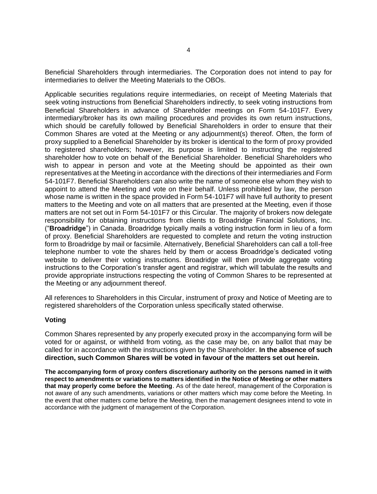Beneficial Shareholders through intermediaries. The Corporation does not intend to pay for intermediaries to deliver the Meeting Materials to the OBOs.

Applicable securities regulations require intermediaries, on receipt of Meeting Materials that seek voting instructions from Beneficial Shareholders indirectly, to seek voting instructions from Beneficial Shareholders in advance of Shareholder meetings on Form 54-101F7. Every intermediary/broker has its own mailing procedures and provides its own return instructions, which should be carefully followed by Beneficial Shareholders in order to ensure that their Common Shares are voted at the Meeting or any adjournment(s) thereof. Often, the form of proxy supplied to a Beneficial Shareholder by its broker is identical to the form of proxy provided to registered shareholders; however, its purpose is limited to instructing the registered shareholder how to vote on behalf of the Beneficial Shareholder. Beneficial Shareholders who wish to appear in person and vote at the Meeting should be appointed as their own representatives at the Meeting in accordance with the directions of their intermediaries and Form 54-101F7. Beneficial Shareholders can also write the name of someone else whom they wish to appoint to attend the Meeting and vote on their behalf. Unless prohibited by law, the person whose name is written in the space provided in Form 54-101F7 will have full authority to present matters to the Meeting and vote on all matters that are presented at the Meeting, even if those matters are not set out in Form 54-101F7 or this Circular. The majority of brokers now delegate responsibility for obtaining instructions from clients to Broadridge Financial Solutions, Inc. ("**Broadridge**") in Canada. Broadridge typically mails a voting instruction form in lieu of a form of proxy. Beneficial Shareholders are requested to complete and return the voting instruction form to Broadridge by mail or facsimile. Alternatively, Beneficial Shareholders can call a toll-free telephone number to vote the shares held by them or access Broadridge's dedicated voting website to deliver their voting instructions. Broadridge will then provide aggregate voting instructions to the Corporation's transfer agent and registrar, which will tabulate the results and provide appropriate instructions respecting the voting of Common Shares to be represented at the Meeting or any adjournment thereof.

All references to Shareholders in this Circular, instrument of proxy and Notice of Meeting are to registered shareholders of the Corporation unless specifically stated otherwise.

#### **Voting**

Common Shares represented by any properly executed proxy in the accompanying form will be voted for or against, or withheld from voting, as the case may be, on any ballot that may be called for in accordance with the instructions given by the Shareholder. **In the absence of such direction, such Common Shares will be voted in favour of the matters set out herein.**

**The accompanying form of proxy confers discretionary authority on the persons named in it with respect to amendments or variations to matters identified in the Notice of Meeting or other matters that may properly come before the Meeting**. As of the date hereof, management of the Corporation is not aware of any such amendments, variations or other matters which may come before the Meeting. In the event that other matters come before the Meeting, then the management designees intend to vote in accordance with the judgment of management of the Corporation.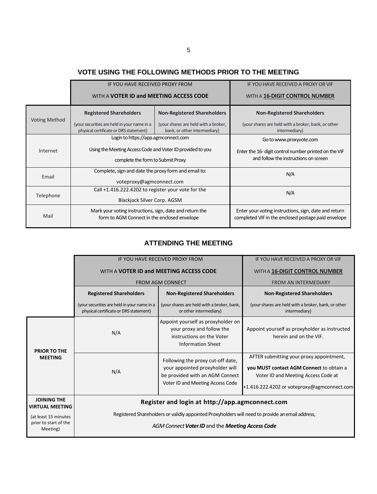# **VOTE USING THE FOLLOWING METHODS PRIOR TO THE MEETING**

|                      | IF YOU HAVE RECEIVED PROXY FROM                                                                          |                                                                      | IF YOU HAVE RECEIVED A PROXY OR VIF                                                                          |
|----------------------|----------------------------------------------------------------------------------------------------------|----------------------------------------------------------------------|--------------------------------------------------------------------------------------------------------------|
|                      | WITH A <b>VOTER ID and MEETING ACCESS CODE</b>                                                           |                                                                      | WITH A 16-DIGIT CONTROL NUMBER                                                                               |
|                      | <b>Registered Shareholders</b>                                                                           | <b>Non-Registered Shareholders</b>                                   | <b>Non-Registered Shareholders</b>                                                                           |
| <b>Voting Method</b> | (your securities are held in your name in a<br>physical certificate or DRS statement)                    | (your shares are held with a broker,<br>bank, or other intermediary) | (your shares are held with a broker, bank, or other<br>intermediary)                                         |
|                      | Login to https://app.agmconnect.com                                                                      |                                                                      | Go to www.proxyvote.com                                                                                      |
| Internet             | Using the Meeting Access Code and Voter ID provided to you                                               |                                                                      | Enter the 16- digit control number printed on the VIF                                                        |
|                      | complete the form to Submit Proxy                                                                        |                                                                      | and follow the instructions on screen                                                                        |
| <b>Fmail</b>         | Complete, sign and date the proxy form and email to:                                                     |                                                                      | N/A                                                                                                          |
|                      | voteproxy@agmconnect.com                                                                                 |                                                                      |                                                                                                              |
| Telephone            | Call $+1.416.222.4202$ to register your vote for the                                                     |                                                                      | N/A                                                                                                          |
|                      | <b>Blackjack Silver Corp. AGSM</b>                                                                       |                                                                      |                                                                                                              |
| Mail                 | Mark your voting instructions, sign, date and return the<br>form to AGM Connect in the enclosed envelope |                                                                      | Enter your voting instructions, sign, date and return<br>completed VIF in the enclosed postage paid envelope |

## **ATTENDING THE MEETING**

|                                                           | IF YOU HAVE RECEIVED PROXY FROM                                                                                                                                                                         | IF YOU HAVE RECEIVED A PROXY OR VIF                                                                                                         |                                                                                                                                                                            |
|-----------------------------------------------------------|---------------------------------------------------------------------------------------------------------------------------------------------------------------------------------------------------------|---------------------------------------------------------------------------------------------------------------------------------------------|----------------------------------------------------------------------------------------------------------------------------------------------------------------------------|
|                                                           | WITH A <b>VOTER ID and MEETING ACCESS CODE</b>                                                                                                                                                          | WITH A 16-DIGIT CONTROL NUMBER                                                                                                              |                                                                                                                                                                            |
|                                                           |                                                                                                                                                                                                         | <b>FROM AGM CONNECT</b>                                                                                                                     | <b>FROM AN INTERMEDIARY</b>                                                                                                                                                |
|                                                           | <b>Registered Shareholders</b>                                                                                                                                                                          | <b>Non-Registered Shareholders</b>                                                                                                          | <b>Non-Registered Shareholders</b>                                                                                                                                         |
|                                                           | (your securities are held in your name in a<br>physical certificate or DRS statement)                                                                                                                   | (your shares are held with a broker, bank,<br>or other intermediary)                                                                        | (your shares are held with a broker, bank, or other<br>intermediary)                                                                                                       |
| <b>PRIOR TO THE</b><br><b>MEETING</b>                     | N/A                                                                                                                                                                                                     | Appoint yourself as proxyholder on<br>your proxy and follow the<br>instructions on the Voter<br><b>Information Sheet</b>                    | Appoint yourself as proxyholder as instructed<br>herein and on the VIF.                                                                                                    |
|                                                           | N/A                                                                                                                                                                                                     | Following the proxy cut-off date,<br>your appointed proxyholder will<br>be provided with an AGM Connect<br>Voter ID and Meeting Access Code | AFTER submitting your proxy appointment,<br>you MUST contact AGM Connect to obtain a<br>Voter ID and Meeting Access Code at<br>+1.416.222.4202 or voteproxy@agmconnect.com |
| <b>JOINING THE</b><br><b>VIRTUAL MEETING</b>              | Register and login at http://app.agmconnect.com<br>Registered Shareholders or validly appointed Proxyholders will need to provide an email address,<br>AGM Connect Voter ID and the Meeting Access Code |                                                                                                                                             |                                                                                                                                                                            |
| (at least 15 minutes<br>prior to start of the<br>Meeting) |                                                                                                                                                                                                         |                                                                                                                                             |                                                                                                                                                                            |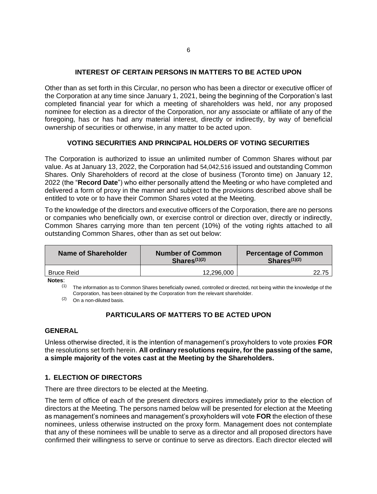## **INTEREST OF CERTAIN PERSONS IN MATTERS TO BE ACTED UPON**

Other than as set forth in this Circular, no person who has been a director or executive officer of the Corporation at any time since January 1, 2021, being the beginning of the Corporation's last completed financial year for which a meeting of shareholders was held, nor any proposed nominee for election as a director of the Corporation, nor any associate or affiliate of any of the foregoing, has or has had any material interest, directly or indirectly, by way of beneficial ownership of securities or otherwise, in any matter to be acted upon.

## **VOTING SECURITIES AND PRINCIPAL HOLDERS OF VOTING SECURITIES**

The Corporation is authorized to issue an unlimited number of Common Shares without par value. As at January 13, 2022, the Corporation had 54,042,516 issued and outstanding Common Shares. Only Shareholders of record at the close of business (Toronto time) on January 12, 2022 (the "**Record Date**") who either personally attend the Meeting or who have completed and delivered a form of proxy in the manner and subject to the provisions described above shall be entitled to vote or to have their Common Shares voted at the Meeting.

To the knowledge of the directors and executive officers of the Corporation, there are no persons or companies who beneficially own, or exercise control or direction over, directly or indirectly, Common Shares carrying more than ten percent (10%) of the voting rights attached to all outstanding Common Shares, other than as set out below:

| Name of Shareholder | <b>Number of Common</b><br>Shares <sup>(1)(2)</sup> | <b>Percentage of Common</b><br>Shares $(1)(2)$ |  |
|---------------------|-----------------------------------------------------|------------------------------------------------|--|
| <b>Bruce Reid</b>   | 12.296.000                                          | 22.75                                          |  |

**Notes**:

 $(1)$  The information as to Common Shares beneficially owned, controlled or directed, not being within the knowledge of the Corporation, has been obtained by the Corporation from the relevant shareholder.

(2) On a non-diluted basis.

## **PARTICULARS OF MATTERS TO BE ACTED UPON**

#### **GENERAL**

Unless otherwise directed, it is the intention of management's proxyholders to vote proxies **FOR** the resolutions set forth herein. **All ordinary resolutions require, for the passing of the same, a simple majority of the votes cast at the Meeting by the Shareholders.**

## **1. ELECTION OF DIRECTORS**

There are three directors to be elected at the Meeting.

The term of office of each of the present directors expires immediately prior to the election of directors at the Meeting. The persons named below will be presented for election at the Meeting as management's nominees and management's proxyholders will vote **FOR** the election of these nominees, unless otherwise instructed on the proxy form. Management does not contemplate that any of these nominees will be unable to serve as a director and all proposed directors have confirmed their willingness to serve or continue to serve as directors. Each director elected will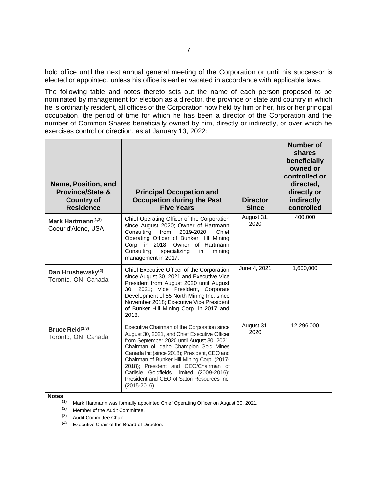hold office until the next annual general meeting of the Corporation or until his successor is elected or appointed, unless his office is earlier vacated in accordance with applicable laws.

The following table and notes thereto sets out the name of each person proposed to be nominated by management for election as a director, the province or state and country in which he is ordinarily resident, all offices of the Corporation now held by him or her, his or her principal occupation, the period of time for which he has been a director of the Corporation and the number of Common Shares beneficially owned by him, directly or indirectly, or over which he exercises control or direction, as at January 13, 2022:

| Name, Position, and<br><b>Province/State &amp;</b><br><b>Country of</b><br><b>Residence</b> | <b>Principal Occupation and</b><br><b>Occupation during the Past</b><br><b>Five Years</b>                                                                                                                                                                                                                                                                                                                                          | <b>Director</b><br><b>Since</b> | <b>Number of</b><br>shares<br>beneficially<br>owned or<br>controlled or<br>directed,<br>directly or<br>indirectly<br>controlled |
|---------------------------------------------------------------------------------------------|------------------------------------------------------------------------------------------------------------------------------------------------------------------------------------------------------------------------------------------------------------------------------------------------------------------------------------------------------------------------------------------------------------------------------------|---------------------------------|---------------------------------------------------------------------------------------------------------------------------------|
| Mark Hartmann $(1,2)$<br>Coeur d'Alene, USA                                                 | Chief Operating Officer of the Corporation<br>since August 2020; Owner of Hartmann<br>2019-2020:<br>Consulting<br>from<br>Chief<br>Operating Officer of Bunker Hill Mining<br>Corp. in 2018; Owner of Hartmann<br>Consulting<br>specializing<br>mining<br>in.<br>management in 2017.                                                                                                                                               | August 31,<br>2020              | 400,000                                                                                                                         |
| Dan Hrushewsky <sup>(2)</sup><br>Toronto, ON, Canada                                        | Chief Executive Officer of the Corporation<br>since August 30, 2021 and Executive Vice<br>President from August 2020 until August<br>30, 2021; Vice President, Corporate<br>Development of 55 North Mining Inc. since<br>November 2018; Executive Vice President<br>of Bunker Hill Mining Corp. in 2017 and<br>2018.                                                                                                               | June 4, 2021                    | 1,600,000                                                                                                                       |
| Bruce Reid $(1,3)$<br>Toronto, ON, Canada                                                   | Executive Chairman of the Corporation since<br>August 30, 2021, and Chief Executive Officer<br>from September 2020 until August 30, 2021;<br>Chairman of Idaho Champion Gold Mines<br>Canada Inc (since 2018); President, CEO and<br>Chairman of Bunker Hill Mining Corp. (2017-<br>2018); President and CEO/Chairman of<br>Carlisle Goldfields Limited (2009-2016);<br>President and CEO of Satori Resources Inc.<br>(2015-2016). | August 31,<br>2020              | 12,296,000                                                                                                                      |

**Notes**:

(1) Mark Hartmann was formally appointed Chief Operating Officer on August 30, 2021.

(2) Member of the Audit Committee.

(3) Audit Committee Chair.

(4) Executive Chair of the Board of Directors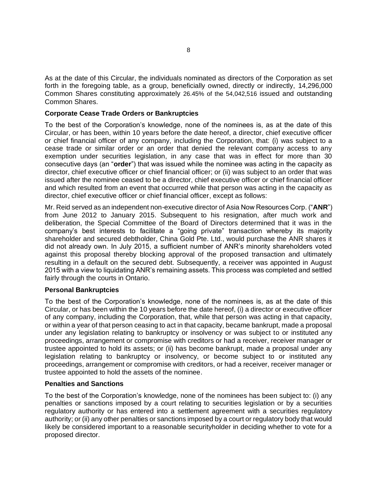As at the date of this Circular, the individuals nominated as directors of the Corporation as set forth in the foregoing table, as a group, beneficially owned, directly or indirectly, 14,296,000 Common Shares constituting approximately 26.45% of the 54,042,516 issued and outstanding Common Shares.

#### **Corporate Cease Trade Orders or Bankruptcies**

To the best of the Corporation's knowledge, none of the nominees is, as at the date of this Circular, or has been, within 10 years before the date hereof, a director, chief executive officer or chief financial officer of any company, including the Corporation, that: (i) was subject to a cease trade or similar order or an order that denied the relevant company access to any exemption under securities legislation, in any case that was in effect for more than 30 consecutive days (an "**order**") that was issued while the nominee was acting in the capacity as director, chief executive officer or chief financial officer; or (ii) was subject to an order that was issued after the nominee ceased to be a director, chief executive officer or chief financial officer and which resulted from an event that occurred while that person was acting in the capacity as director, chief executive officer or chief financial officer, except as follows:

Mr. Reid served as an independent non-executive director of Asia Now Resources Corp. ("**ANR**") from June 2012 to January 2015. Subsequent to his resignation, after much work and deliberation, the Special Committee of the Board of Directors determined that it was in the company's best interests to facilitate a "going private" transaction whereby its majority shareholder and secured debtholder, China Gold Pte. Ltd., would purchase the ANR shares it did not already own. In July 2015, a sufficient number of ANR's minority shareholders voted against this proposal thereby blocking approval of the proposed transaction and ultimately resulting in a default on the secured debt. Subsequently, a receiver was appointed in August 2015 with a view to liquidating ANR's remaining assets. This process was completed and settled fairly through the courts in Ontario.

#### **Personal Bankruptcies**

To the best of the Corporation's knowledge, none of the nominees is, as at the date of this Circular, or has been within the 10 years before the date hereof, (i) a director or executive officer of any company, including the Corporation, that, while that person was acting in that capacity, or within a year of that person ceasing to act in that capacity, became bankrupt, made a proposal under any legislation relating to bankruptcy or insolvency or was subject to or instituted any proceedings, arrangement or compromise with creditors or had a receiver, receiver manager or trustee appointed to hold its assets; or (ii) has become bankrupt, made a proposal under any legislation relating to bankruptcy or insolvency, or become subject to or instituted any proceedings, arrangement or compromise with creditors, or had a receiver, receiver manager or trustee appointed to hold the assets of the nominee.

#### **Penalties and Sanctions**

To the best of the Corporation's knowledge, none of the nominees has been subject to: (i) any penalties or sanctions imposed by a court relating to securities legislation or by a securities regulatory authority or has entered into a settlement agreement with a securities regulatory authority; or (ii) any other penalties or sanctions imposed by a court or regulatory body that would likely be considered important to a reasonable securityholder in deciding whether to vote for a proposed director.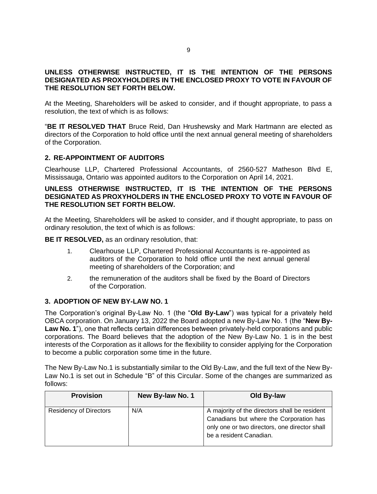## **UNLESS OTHERWISE INSTRUCTED, IT IS THE INTENTION OF THE PERSONS DESIGNATED AS PROXYHOLDERS IN THE ENCLOSED PROXY TO VOTE IN FAVOUR OF THE RESOLUTION SET FORTH BELOW.**

At the Meeting, Shareholders will be asked to consider, and if thought appropriate, to pass a resolution, the text of which is as follows:

"**BE IT RESOLVED THAT** Bruce Reid, Dan Hrushewsky and Mark Hartmann are elected as directors of the Corporation to hold office until the next annual general meeting of shareholders of the Corporation.

## **2. RE-APPOINTMENT OF AUDITORS**

Clearhouse LLP, Chartered Professional Accountants, of 2560-527 Matheson Blvd E, Mississauga, Ontario was appointed auditors to the Corporation on April 14, 2021.

## **UNLESS OTHERWISE INSTRUCTED, IT IS THE INTENTION OF THE PERSONS DESIGNATED AS PROXYHOLDERS IN THE ENCLOSED PROXY TO VOTE IN FAVOUR OF THE RESOLUTION SET FORTH BELOW.**

At the Meeting, Shareholders will be asked to consider, and if thought appropriate, to pass on ordinary resolution, the text of which is as follows:

**BE IT RESOLVED, as an ordinary resolution, that:** 

- 1. Clearhouse LLP, Chartered Professional Accountants is re-appointed as auditors of the Corporation to hold office until the next annual general meeting of shareholders of the Corporation; and
- 2. the remuneration of the auditors shall be fixed by the Board of Directors of the Corporation.

## **3. ADOPTION OF NEW BY-LAW NO. 1**

The Corporation's original By-Law No. 1 (the "**Old By-Law**") was typical for a privately held OBCA corporation. On January 13, 2022 the Board adopted a new By-Law No. 1 (the "**New By-Law No. 1**"), one that reflects certain differences between privately-held corporations and public corporations. The Board believes that the adoption of the New By-Law No. 1 is in the best interests of the Corporation as it allows for the flexibility to consider applying for the Corporation to become a public corporation some time in the future.

The New By-Law No.1 is substantially similar to the Old By-Law, and the full text of the New By-Law No.1 is set out in Schedule "B" of this Circular. Some of the changes are summarized as follows:

| <b>Provision</b>              | New By-law No. 1 | Old By-law                                                                                                                                                           |
|-------------------------------|------------------|----------------------------------------------------------------------------------------------------------------------------------------------------------------------|
| <b>Residency of Directors</b> | N/A              | A majority of the directors shall be resident<br>Canadians but where the Corporation has<br>only one or two directors, one director shall<br>be a resident Canadian. |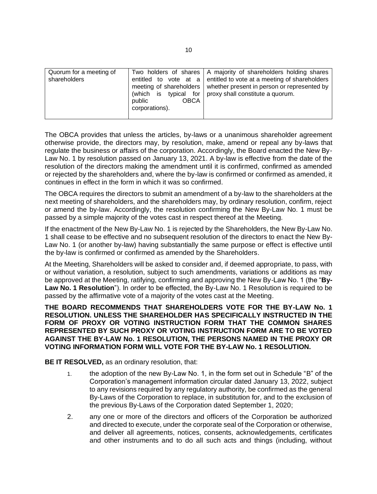| Quorum for a meeting of<br>shareholders | public<br><b>OBCA</b><br>corporations). | Two holders of shares   A majority of shareholders holding shares<br>entitled to vote at a entitled to vote at a meeting of shareholders<br>meeting of shareholders   whether present in person or represented by<br>(which is typical for   proxy shall constitute a quorum. |
|-----------------------------------------|-----------------------------------------|-------------------------------------------------------------------------------------------------------------------------------------------------------------------------------------------------------------------------------------------------------------------------------|

The OBCA provides that unless the articles, by-laws or a unanimous shareholder agreement otherwise provide, the directors may, by resolution, make, amend or repeal any by-laws that regulate the business or affairs of the corporation. Accordingly, the Board enacted the New By-Law No. 1 by resolution passed on January 13, 2021. A by-law is effective from the date of the resolution of the directors making the amendment until it is confirmed, confirmed as amended or rejected by the shareholders and, where the by-law is confirmed or confirmed as amended, it continues in effect in the form in which it was so confirmed.

The OBCA requires the directors to submit an amendment of a by-law to the shareholders at the next meeting of shareholders, and the shareholders may, by ordinary resolution, confirm, reject or amend the by-law. Accordingly, the resolution confirming the New By-Law No. 1 must be passed by a simple majority of the votes cast in respect thereof at the Meeting.

If the enactment of the New By-Law No. 1 is rejected by the Shareholders, the New By-Law No. 1 shall cease to be effective and no subsequent resolution of the directors to enact the New By-Law No. 1 (or another by-law) having substantially the same purpose or effect is effective until the by-law is confirmed or confirmed as amended by the Shareholders.

At the Meeting, Shareholders will be asked to consider and, if deemed appropriate, to pass, with or without variation, a resolution, subject to such amendments, variations or additions as may be approved at the Meeting, ratifying, confirming and approving the New By-Law No. 1 (the "**By-Law No. 1 Resolution**"). In order to be effected, the By-Law No. 1 Resolution is required to be passed by the affirmative vote of a majority of the votes cast at the Meeting.

**THE BOARD RECOMMENDS THAT SHAREHOLDERS VOTE FOR THE BY-LAW No. 1 RESOLUTION. UNLESS THE SHAREHOLDER HAS SPECIFICALLY INSTRUCTED IN THE FORM OF PROXY OR VOTING INSTRUCTION FORM THAT THE COMMON SHARES REPRESENTED BY SUCH PROXY OR VOTING INSTRUCTION FORM ARE TO BE VOTED AGAINST THE BY-LAW No. 1 RESOLUTION, THE PERSONS NAMED IN THE PROXY OR VOTING INFORMATION FORM WILL VOTE FOR THE BY-LAW No. 1 RESOLUTION.**

**BE IT RESOLVED, as an ordinary resolution, that:** 

- 1. the adoption of the new By-Law No. 1, in the form set out in Schedule "B" of the Corporation's management information circular dated January 13, 2022, subject to any revisions required by any regulatory authority, be confirmed as the general By-Laws of the Corporation to replace, in substitution for, and to the exclusion of the previous By-Laws of the Corporation dated September 1, 2020;
- 2. any one or more of the directors and officers of the Corporation be authorized and directed to execute, under the corporate seal of the Corporation or otherwise, and deliver all agreements, notices, consents, acknowledgements, certificates and other instruments and to do all such acts and things (including, without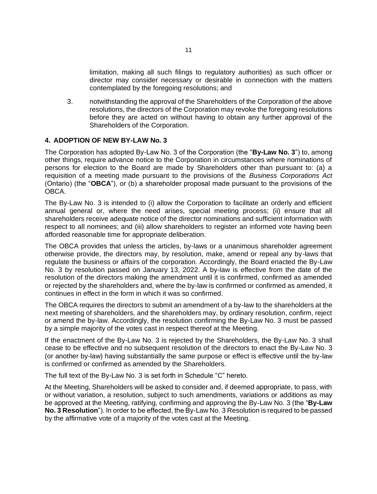limitation, making all such filings to regulatory authorities) as such officer or director may consider necessary or desirable in connection with the matters contemplated by the foregoing resolutions; and

3. notwithstanding the approval of the Shareholders of the Corporation of the above resolutions, the directors of the Corporation may revoke the foregoing resolutions before they are acted on without having to obtain any further approval of the Shareholders of the Corporation.

#### **4. ADOPTION OF NEW BY-LAW No. 3**

The Corporation has adopted By-Law No. 3 of the Corporation (the "**By-Law No. 3**") to, among other things, require advance notice to the Corporation in circumstances where nominations of persons for election to the Board are made by Shareholders other than pursuant to: (a) a requisition of a meeting made pursuant to the provisions of the *Business Corporations Act* (Ontario) (the "**OBCA**"), or (b) a shareholder proposal made pursuant to the provisions of the OBCA.

The By-Law No. 3 is intended to (i) allow the Corporation to facilitate an orderly and efficient annual general or, where the need arises, special meeting process; (ii) ensure that all shareholders receive adequate notice of the director nominations and sufficient information with respect to all nominees; and (iii) allow shareholders to register an informed vote having been afforded reasonable time for appropriate deliberation.

The OBCA provides that unless the articles, by-laws or a unanimous shareholder agreement otherwise provide, the directors may, by resolution, make, amend or repeal any by-laws that regulate the business or affairs of the corporation. Accordingly, the Board enacted the By-Law No. 3 by resolution passed on January 13, 2022. A by-law is effective from the date of the resolution of the directors making the amendment until it is confirmed, confirmed as amended or rejected by the shareholders and, where the by-law is confirmed or confirmed as amended, it continues in effect in the form in which it was so confirmed.

The OBCA requires the directors to submit an amendment of a by-law to the shareholders at the next meeting of shareholders, and the shareholders may, by ordinary resolution, confirm, reject or amend the by-law. Accordingly, the resolution confirming the By-Law No. 3 must be passed by a simple majority of the votes cast in respect thereof at the Meeting.

If the enactment of the By-Law No. 3 is rejected by the Shareholders, the By-Law No. 3 shall cease to be effective and no subsequent resolution of the directors to enact the By-Law No. 3 (or another by-law) having substantially the same purpose or effect is effective until the by-law is confirmed or confirmed as amended by the Shareholders.

The full text of the By-Law No. 3 is set forth in Schedule "C" hereto.

At the Meeting, Shareholders will be asked to consider and, if deemed appropriate, to pass, with or without variation, a resolution, subject to such amendments, variations or additions as may be approved at the Meeting, ratifying, confirming and approving the By-Law No. 3 (the "**By-Law No. 3 Resolution**"). In order to be effected, the By-Law No. 3 Resolution is required to be passed by the affirmative vote of a majority of the votes cast at the Meeting.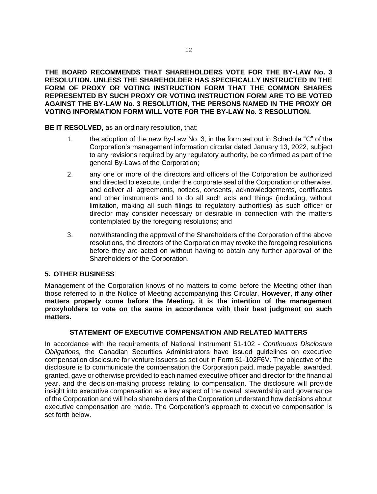**THE BOARD RECOMMENDS THAT SHAREHOLDERS VOTE FOR THE BY-LAW No. 3 RESOLUTION. UNLESS THE SHAREHOLDER HAS SPECIFICALLY INSTRUCTED IN THE FORM OF PROXY OR VOTING INSTRUCTION FORM THAT THE COMMON SHARES REPRESENTED BY SUCH PROXY OR VOTING INSTRUCTION FORM ARE TO BE VOTED AGAINST THE BY-LAW No. 3 RESOLUTION, THE PERSONS NAMED IN THE PROXY OR VOTING INFORMATION FORM WILL VOTE FOR THE BY-LAW No. 3 RESOLUTION.**

**BE IT RESOLVED,** as an ordinary resolution, that:

- 1. the adoption of the new By-Law No. 3, in the form set out in Schedule "C" of the Corporation's management information circular dated January 13, 2022, subject to any revisions required by any regulatory authority, be confirmed as part of the general By-Laws of the Corporation;
- 2. any one or more of the directors and officers of the Corporation be authorized and directed to execute, under the corporate seal of the Corporation or otherwise, and deliver all agreements, notices, consents, acknowledgements, certificates and other instruments and to do all such acts and things (including, without limitation, making all such filings to regulatory authorities) as such officer or director may consider necessary or desirable in connection with the matters contemplated by the foregoing resolutions; and
- 3. notwithstanding the approval of the Shareholders of the Corporation of the above resolutions, the directors of the Corporation may revoke the foregoing resolutions before they are acted on without having to obtain any further approval of the Shareholders of the Corporation.

## **5. OTHER BUSINESS**

Management of the Corporation knows of no matters to come before the Meeting other than those referred to in the Notice of Meeting accompanying this Circular. **However, if any other matters properly come before the Meeting, it is the intention of the management proxyholders to vote on the same in accordance with their best judgment on such matters.**

#### **STATEMENT OF EXECUTIVE COMPENSATION AND RELATED MATTERS**

In accordance with the requirements of National Instrument 51-102 - *Continuous Disclosure Obligations,* the Canadian Securities Administrators have issued guidelines on executive compensation disclosure for venture issuers as set out in Form 51-102F6V. The objective of the disclosure is to communicate the compensation the Corporation paid, made payable, awarded, granted, gave or otherwise provided to each named executive officer and director for the financial year, and the decision-making process relating to compensation. The disclosure will provide insight into executive compensation as a key aspect of the overall stewardship and governance of the Corporation and will help shareholders of the Corporation understand how decisions about executive compensation are made. The Corporation's approach to executive compensation is set forth below.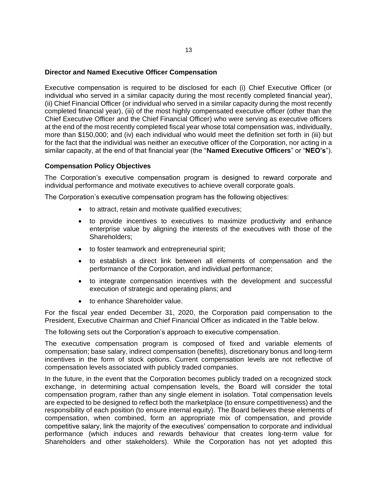#### **Director and Named Executive Officer Compensation**

Executive compensation is required to be disclosed for each (i) Chief Executive Officer (or individual who served in a similar capacity during the most recently completed financial year), (ii) Chief Financial Officer (or individual who served in a similar capacity during the most recently completed financial year), (iii) of the most highly compensated executive officer (other than the Chief Executive Officer and the Chief Financial Officer) who were serving as executive officers at the end of the most recently completed fiscal year whose total compensation was, individually, more than \$150,000; and (iv) each individual who would meet the definition set forth in (iii) but for the fact that the individual was neither an executive officer of the Corporation, nor acting in a similar capacity, at the end of that financial year (the "**Named Executive Officers**" or "**NEO's**").

## **Compensation Policy Objectives**

The Corporation's executive compensation program is designed to reward corporate and individual performance and motivate executives to achieve overall corporate goals.

The Corporation's executive compensation program has the following objectives:

- to attract, retain and motivate qualified executives;
- to provide incentives to executives to maximize productivity and enhance enterprise value by aligning the interests of the executives with those of the Shareholders;
- to foster teamwork and entrepreneurial spirit;
- to establish a direct link between all elements of compensation and the performance of the Corporation, and individual performance;
- to integrate compensation incentives with the development and successful execution of strategic and operating plans; and
- to enhance Shareholder value.

For the fiscal year ended December 31, 2020, the Corporation paid compensation to the President, Executive Chairman and Chief Financial Officer as indicated in the Table below.

The following sets out the Corporation's approach to executive compensation.

The executive compensation program is composed of fixed and variable elements of compensation; base salary, indirect compensation (benefits), discretionary bonus and long-term incentives in the form of stock options. Current compensation levels are not reflective of compensation levels associated with publicly traded companies.

In the future, in the event that the Corporation becomes publicly traded on a recognized stock exchange, in determining actual compensation levels, the Board will consider the total compensation program, rather than any single element in isolation. Total compensation levels are expected to be designed to reflect both the marketplace (to ensure competitiveness) and the responsibility of each position (to ensure internal equity). The Board believes these elements of compensation, when combined, form an appropriate mix of compensation, and provide competitive salary, link the majority of the executives' compensation to corporate and individual performance (which induces and rewards behaviour that creates long-term value for Shareholders and other stakeholders). While the Corporation has not yet adopted this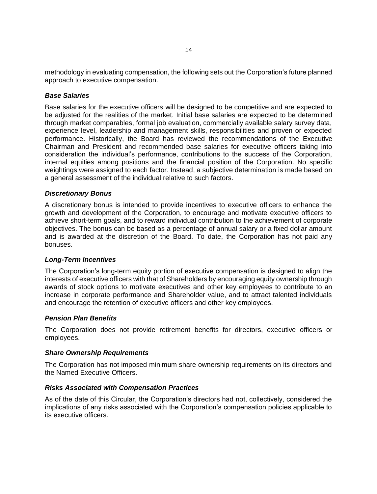methodology in evaluating compensation, the following sets out the Corporation's future planned approach to executive compensation.

#### *Base Salaries*

Base salaries for the executive officers will be designed to be competitive and are expected to be adjusted for the realities of the market. Initial base salaries are expected to be determined through market comparables, formal job evaluation, commercially available salary survey data, experience level, leadership and management skills, responsibilities and proven or expected performance. Historically, the Board has reviewed the recommendations of the Executive Chairman and President and recommended base salaries for executive officers taking into consideration the individual's performance, contributions to the success of the Corporation, internal equities among positions and the financial position of the Corporation. No specific weightings were assigned to each factor. Instead, a subjective determination is made based on a general assessment of the individual relative to such factors.

#### *Discretionary Bonus*

A discretionary bonus is intended to provide incentives to executive officers to enhance the growth and development of the Corporation, to encourage and motivate executive officers to achieve short-term goals, and to reward individual contribution to the achievement of corporate objectives. The bonus can be based as a percentage of annual salary or a fixed dollar amount and is awarded at the discretion of the Board. To date, the Corporation has not paid any bonuses.

#### *Long-Term Incentives*

The Corporation's long-term equity portion of executive compensation is designed to align the interests of executive officers with that of Shareholders by encouraging equity ownership through awards of stock options to motivate executives and other key employees to contribute to an increase in corporate performance and Shareholder value, and to attract talented individuals and encourage the retention of executive officers and other key employees.

#### *Pension Plan Benefits*

The Corporation does not provide retirement benefits for directors, executive officers or employees.

#### *Share Ownership Requirements*

The Corporation has not imposed minimum share ownership requirements on its directors and the Named Executive Officers.

#### *Risks Associated with Compensation Practices*

As of the date of this Circular, the Corporation's directors had not, collectively, considered the implications of any risks associated with the Corporation's compensation policies applicable to its executive officers.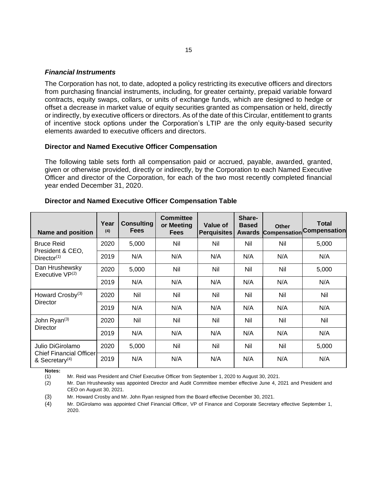#### *Financial Instruments*

The Corporation has not, to date, adopted a policy restricting its executive officers and directors from purchasing financial instruments, including, for greater certainty, prepaid variable forward contracts, equity swaps, collars, or units of exchange funds, which are designed to hedge or offset a decrease in market value of equity securities granted as compensation or held, directly or indirectly, by executive officers or directors. As of the date of this Circular, entitlement to grants of incentive stock options under the Corporation's LTIP are the only equity-based security elements awarded to executive officers and directors.

#### **Director and Named Executive Officer Compensation**

The following table sets forth all compensation paid or accrued, payable, awarded, granted, given or otherwise provided, directly or indirectly, by the Corporation to each Named Executive Officer and director of the Corporation, for each of the two most recently completed financial year ended December 31, 2020.

| <b>Name and position</b>                                     | Year<br>(4) | <b>Consulting</b><br><b>Fees</b> | <b>Committee</b><br>or Meeting<br><b>Fees</b> | Value of<br><b>Perquisites</b> | Share-<br><b>Based</b><br><b>Awards</b> | <b>Other</b><br><b>Compensation</b> | <b>Total</b><br><b>Compensation</b> |
|--------------------------------------------------------------|-------------|----------------------------------|-----------------------------------------------|--------------------------------|-----------------------------------------|-------------------------------------|-------------------------------------|
| <b>Bruce Reid</b>                                            | 2020        | 5,000                            | Nil                                           | Nil                            | Nil                                     | Nil                                 | 5,000                               |
| President & CEO,<br>Director <sup>(1)</sup>                  | 2019        | N/A                              | N/A                                           | N/A                            | N/A                                     | N/A                                 | N/A                                 |
| Dan Hrushewsky<br>Executive $VP^{(2)}$                       | 2020        | 5,000                            | Nil                                           | Nil                            | Nil                                     | Nil                                 | 5,000                               |
|                                                              | 2019        | N/A                              | N/A                                           | N/A                            | N/A                                     | N/A                                 | N/A                                 |
| Howard Crosby <sup>(3)</sup><br>Director                     | 2020        | Nil                              | Nil                                           | Nil                            | Nil                                     | <b>Nil</b>                          | Nil                                 |
|                                                              | 2019        | N/A                              | N/A                                           | N/A                            | N/A                                     | N/A                                 | N/A                                 |
| John Ryan(3)                                                 | 2020        | Nil                              | Nil                                           | Nil                            | Nil                                     | Nil                                 | Nil                                 |
| Director                                                     | 2019        | N/A                              | N/A                                           | N/A                            | N/A                                     | N/A                                 | N/A                                 |
| Julio DiGirolamo                                             | 2020        | 5,000                            | Nil                                           | Nil                            | Nil                                     | Nil                                 | 5,000                               |
| <b>Chief Financial Officer</b><br>& Secretary <sup>(4)</sup> | 2019        | N/A                              | N/A                                           | N/A                            | N/A                                     | N/A                                 | N/A                                 |

#### **Director and Named Executive Officer Compensation Table**

**Notes:**

(1) Mr. Reid was President and Chief Executive Officer from September 1, 2020 to August 30, 2021.

(2) Mr. Dan Hrushewsky was appointed Director and Audit Committee member effective June 4, 2021 and President and CEO on August 30, 2021.

(3) Mr. Howard Crosby and Mr. John Ryan resigned from the Board effective December 30, 2021.

(4) Mr. DiGirolamo was appointed Chief Financial Officer, VP of Finance and Corporate Secretary effective September 1, 2020.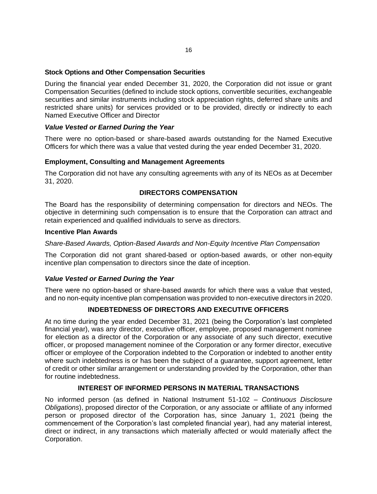## **Stock Options and Other Compensation Securities**

During the financial year ended December 31, 2020, the Corporation did not issue or grant Compensation Securities (defined to include stock options, convertible securities, exchangeable securities and similar instruments including stock appreciation rights, deferred share units and restricted share units) for services provided or to be provided, directly or indirectly to each Named Executive Officer and Director

## *Value Vested or Earned During the Year*

There were no option-based or share-based awards outstanding for the Named Executive Officers for which there was a value that vested during the year ended December 31, 2020.

## **Employment, Consulting and Management Agreements**

The Corporation did not have any consulting agreements with any of its NEOs as at December 31, 2020.

## **DIRECTORS COMPENSATION**

The Board has the responsibility of determining compensation for directors and NEOs. The objective in determining such compensation is to ensure that the Corporation can attract and retain experienced and qualified individuals to serve as directors.

#### **Incentive Plan Awards**

## *Share-Based Awards, Option-Based Awards and Non-Equity Incentive Plan Compensation*

The Corporation did not grant shared-based or option-based awards, or other non-equity incentive plan compensation to directors since the date of inception.

#### *Value Vested or Earned During the Year*

There were no option-based or share-based awards for which there was a value that vested, and no non-equity incentive plan compensation was provided to non-executive directors in 2020.

## **INDEBTEDNESS OF DIRECTORS AND EXECUTIVE OFFICERS**

At no time during the year ended December 31, 2021 (being the Corporation's last completed financial year), was any director, executive officer, employee, proposed management nominee for election as a director of the Corporation or any associate of any such director, executive officer, or proposed management nominee of the Corporation or any former director, executive officer or employee of the Corporation indebted to the Corporation or indebted to another entity where such indebtedness is or has been the subject of a guarantee, support agreement, letter of credit or other similar arrangement or understanding provided by the Corporation, other than for routine indebtedness.

#### **INTEREST OF INFORMED PERSONS IN MATERIAL TRANSACTIONS**

No informed person (as defined in National Instrument 51-102 – *Continuous Disclosure Obligations*), proposed director of the Corporation, or any associate or affiliate of any informed person or proposed director of the Corporation has, since January 1, 2021 (being the commencement of the Corporation's last completed financial year), had any material interest, direct or indirect, in any transactions which materially affected or would materially affect the Corporation.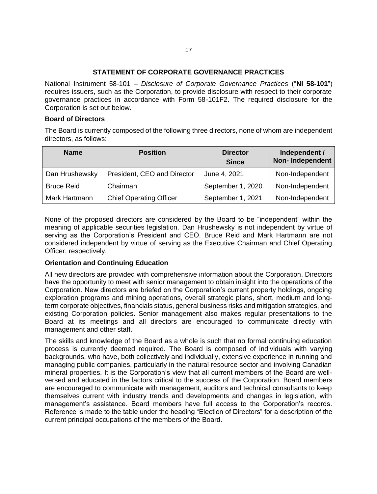## **STATEMENT OF CORPORATE GOVERNANCE PRACTICES**

National Instrument 58-101 – *Disclosure of Corporate Governance Practices* ("**NI 58-101**") requires issuers, such as the Corporation, to provide disclosure with respect to their corporate governance practices in accordance with Form 58-101F2. The required disclosure for the Corporation is set out below.

#### **Board of Directors**

The Board is currently composed of the following three directors, none of whom are independent directors, as follows:

| <b>Name</b>       | <b>Position</b>                | <b>Director</b><br><b>Since</b> | Independent /<br><b>Non-Independent</b> |
|-------------------|--------------------------------|---------------------------------|-----------------------------------------|
| Dan Hrushewsky    | President, CEO and Director    | June 4, 2021                    | Non-Independent                         |
| <b>Bruce Reid</b> | Chairman                       | September 1, 2020               | Non-Independent                         |
| Mark Hartmann     | <b>Chief Operating Officer</b> | September 1, 2021               | Non-Independent                         |

None of the proposed directors are considered by the Board to be "independent" within the meaning of applicable securities legislation. Dan Hrushewsky is not independent by virtue of serving as the Corporation's President and CEO. Bruce Reid and Mark Hartmann are not considered independent by virtue of serving as the Executive Chairman and Chief Operating Officer, respectively.

## **Orientation and Continuing Education**

All new directors are provided with comprehensive information about the Corporation. Directors have the opportunity to meet with senior management to obtain insight into the operations of the Corporation. New directors are briefed on the Corporation's current property holdings, ongoing exploration programs and mining operations, overall strategic plans, short, medium and longterm corporate objectives, financials status, general business risks and mitigation strategies, and existing Corporation policies. Senior management also makes regular presentations to the Board at its meetings and all directors are encouraged to communicate directly with management and other staff.

The skills and knowledge of the Board as a whole is such that no formal continuing education process is currently deemed required. The Board is composed of individuals with varying backgrounds, who have, both collectively and individually, extensive experience in running and managing public companies, particularly in the natural resource sector and involving Canadian mineral properties. It is the Corporation's view that all current members of the Board are wellversed and educated in the factors critical to the success of the Corporation. Board members are encouraged to communicate with management, auditors and technical consultants to keep themselves current with industry trends and developments and changes in legislation, with management's assistance. Board members have full access to the Corporation's records. Reference is made to the table under the heading "Election of Directors" for a description of the current principal occupations of the members of the Board.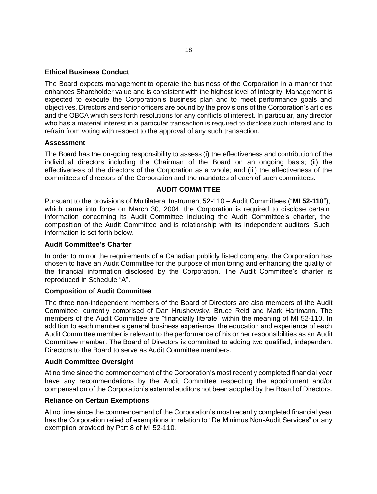## **Ethical Business Conduct**

The Board expects management to operate the business of the Corporation in a manner that enhances Shareholder value and is consistent with the highest level of integrity. Management is expected to execute the Corporation's business plan and to meet performance goals and objectives. Directors and senior officers are bound by the provisions of the Corporation's articles and the OBCA which sets forth resolutions for any conflicts of interest. In particular, any director who has a material interest in a particular transaction is required to disclose such interest and to refrain from voting with respect to the approval of any such transaction.

#### **Assessment**

The Board has the on-going responsibility to assess (i) the effectiveness and contribution of the individual directors including the Chairman of the Board on an ongoing basis; (ii) the effectiveness of the directors of the Corporation as a whole; and (iii) the effectiveness of the committees of directors of the Corporation and the mandates of each of such committees.

#### **AUDIT COMMITTEE**

Pursuant to the provisions of Multilateral Instrument 52-110 – Audit Committees ("**MI 52-110**"), which came into force on March 30, 2004, the Corporation is required to disclose certain information concerning its Audit Committee including the Audit Committee's charter, the composition of the Audit Committee and is relationship with its independent auditors. Such information is set forth below.

## **Audit Committee's Charter**

In order to mirror the requirements of a Canadian publicly listed company, the Corporation has chosen to have an Audit Committee for the purpose of monitoring and enhancing the quality of the financial information disclosed by the Corporation. The Audit Committee's charter is reproduced in Schedule "A".

#### **Composition of Audit Committee**

The three non-independent members of the Board of Directors are also members of the Audit Committee, currently comprised of Dan Hrushewsky, Bruce Reid and Mark Hartmann. The members of the Audit Committee are "financially literate" within the meaning of MI 52-110. In addition to each member's general business experience, the education and experience of each Audit Committee member is relevant to the performance of his or her responsibilities as an Audit Committee member. The Board of Directors is committed to adding two qualified, independent Directors to the Board to serve as Audit Committee members.

#### **Audit Committee Oversight**

At no time since the commencement of the Corporation's most recently completed financial year have any recommendations by the Audit Committee respecting the appointment and/or compensation of the Corporation's external auditors not been adopted by the Board of Directors.

#### **Reliance on Certain Exemptions**

At no time since the commencement of the Corporation's most recently completed financial year has the Corporation relied of exemptions in relation to "De Minimus Non-Audit Services" or any exemption provided by Part 8 of MI 52-110.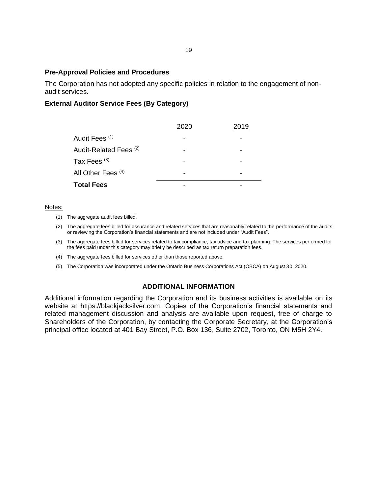#### **Pre-Approval Policies and Procedures**

The Corporation has not adopted any specific policies in relation to the engagement of nonaudit services.

## **External Auditor Service Fees (By Category)**

|                               | 11 9 |
|-------------------------------|------|
| Audit Fees <sup>(1)</sup>     |      |
| Audit-Related Fees (2)        |      |
| Tax Fees $(3)$                |      |
| All Other Fees <sup>(4)</sup> |      |
| <b>Total Fees</b>             |      |

#### Notes:

- (1) The aggregate audit fees billed.
- (2) The aggregate fees billed for assurance and related services that are reasonably related to the performance of the audits or reviewing the Corporation's financial statements and are not included under "Audit Fees".
- (3) The aggregate fees billed for services related to tax compliance, tax advice and tax planning. The services performed for the fees paid under this category may briefly be described as tax return preparation fees.
- (4) The aggregate fees billed for services other than those reported above.
- (5) The Corporation was incorporated under the Ontario Business Corporations Act (OBCA) on August 30, 2020.

#### **ADDITIONAL INFORMATION**

Additional information regarding the Corporation and its business activities is available on its website at https://blackjacksilver.com. Copies of the Corporation's financial statements and related management discussion and analysis are available upon request, free of charge to Shareholders of the Corporation, by contacting the Corporate Secretary, at the Corporation's principal office located at 401 Bay Street, P.O. Box 136, Suite 2702, Toronto, ON M5H 2Y4.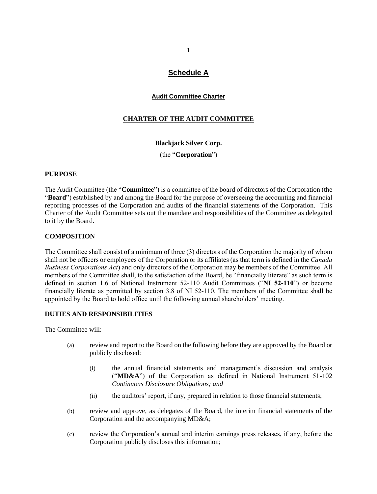# **Schedule A**

#### **Audit Committee Charter**

## **CHARTER OF THE AUDIT COMMITTEE**

#### **Blackjack Silver Corp.**

(the "**Corporation**")

#### **PURPOSE**

The Audit Committee (the "**Committee**") is a committee of the board of directors of the Corporation (the "**Board**") established by and among the Board for the purpose of overseeing the accounting and financial reporting processes of the Corporation and audits of the financial statements of the Corporation. This Charter of the Audit Committee sets out the mandate and responsibilities of the Committee as delegated to it by the Board.

#### **COMPOSITION**

The Committee shall consist of a minimum of three (3) directors of the Corporation the majority of whom shall not be officers or employees of the Corporation or its affiliates (as that term is defined in the *Canada Business Corporations Act*) and only directors of the Corporation may be members of the Committee. All members of the Committee shall, to the satisfaction of the Board, be "financially literate" as such term is defined in section 1.6 of National Instrument 52-110 Audit Committees ("**NI 52-110**") or become financially literate as permitted by section 3.8 of NI 52-110. The members of the Committee shall be appointed by the Board to hold office until the following annual shareholders' meeting.

#### **DUTIES AND RESPONSIBILITIES**

The Committee will:

- (a) review and report to the Board on the following before they are approved by the Board or publicly disclosed:
	- (i) the annual financial statements and management's discussion and analysis ("**MD&A**") of the Corporation as defined in National Instrument 51-102 *Continuous Disclosure Obligations; and*
	- (ii) the auditors' report, if any, prepared in relation to those financial statements;
- (b) review and approve, as delegates of the Board, the interim financial statements of the Corporation and the accompanying MD&A;
- (c) review the Corporation's annual and interim earnings press releases, if any, before the Corporation publicly discloses this information;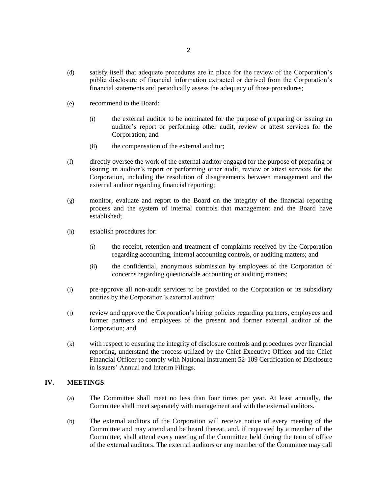- (d) satisfy itself that adequate procedures are in place for the review of the Corporation's public disclosure of financial information extracted or derived from the Corporation's financial statements and periodically assess the adequacy of those procedures;
- (e) recommend to the Board:
	- (i) the external auditor to be nominated for the purpose of preparing or issuing an auditor's report or performing other audit, review or attest services for the Corporation; and
	- (ii) the compensation of the external auditor;
- (f) directly oversee the work of the external auditor engaged for the purpose of preparing or issuing an auditor's report or performing other audit, review or attest services for the Corporation, including the resolution of disagreements between management and the external auditor regarding financial reporting;
- (g) monitor, evaluate and report to the Board on the integrity of the financial reporting process and the system of internal controls that management and the Board have established;
- (h) establish procedures for:
	- (i) the receipt, retention and treatment of complaints received by the Corporation regarding accounting, internal accounting controls, or auditing matters; and
	- (ii) the confidential, anonymous submission by employees of the Corporation of concerns regarding questionable accounting or auditing matters;
- (i) pre-approve all non-audit services to be provided to the Corporation or its subsidiary entities by the Corporation's external auditor;
- (j) review and approve the Corporation's hiring policies regarding partners, employees and former partners and employees of the present and former external auditor of the Corporation; and
- (k) with respect to ensuring the integrity of disclosure controls and procedures over financial reporting, understand the process utilized by the Chief Executive Officer and the Chief Financial Officer to comply with National Instrument 52-109 Certification of Disclosure in Issuers' Annual and Interim Filings.

#### **IV. MEETINGS**

- (a) The Committee shall meet no less than four times per year. At least annually, the Committee shall meet separately with management and with the external auditors.
- (b) The external auditors of the Corporation will receive notice of every meeting of the Committee and may attend and be heard thereat, and, if requested by a member of the Committee, shall attend every meeting of the Committee held during the term of office of the external auditors. The external auditors or any member of the Committee may call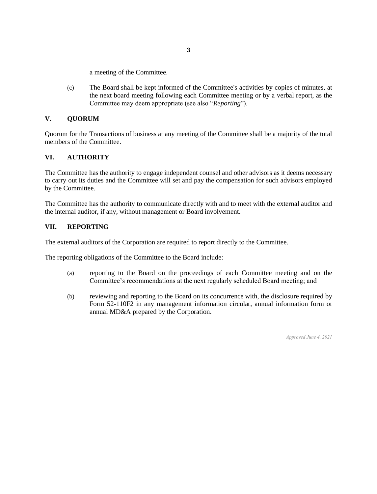a meeting of the Committee.

(c) The Board shall be kept informed of the Committee's activities by copies of minutes, at the next board meeting following each Committee meeting or by a verbal report, as the Committee may deem appropriate (see also "*Reporting*").

## **V. QUORUM**

Quorum for the Transactions of business at any meeting of the Committee shall be a majority of the total members of the Committee.

#### **VI. AUTHORITY**

The Committee has the authority to engage independent counsel and other advisors as it deems necessary to carry out its duties and the Committee will set and pay the compensation for such advisors employed by the Committee.

The Committee has the authority to communicate directly with and to meet with the external auditor and the internal auditor, if any, without management or Board involvement.

#### **VII. REPORTING**

The external auditors of the Corporation are required to report directly to the Committee.

The reporting obligations of the Committee to the Board include:

- (a) reporting to the Board on the proceedings of each Committee meeting and on the Committee's recommendations at the next regularly scheduled Board meeting; and
- (b) reviewing and reporting to the Board on its concurrence with, the disclosure required by Form 52-110F2 in any management information circular, annual information form or annual MD&A prepared by the Corporation.

*Approved June 4, 2021*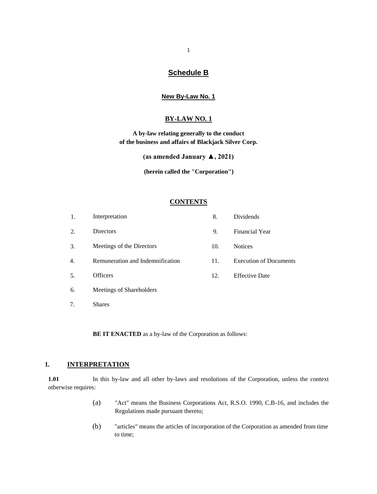## **Schedule B**

#### **New By-Law No. 1**

#### **BY-LAW NO. 1**

**A by-law relating generally to the conduct of the business and affairs of Blackjack Silver Corp.**

**(as amended January ▲, 2021)**

**(herein called the "Corporation")**

#### **CONTENTS**

| 1. | Interpretation                   | 8.  | <b>Dividends</b>              |
|----|----------------------------------|-----|-------------------------------|
| 2. | <b>Directors</b>                 | 9.  | <b>Financial Year</b>         |
| 3. | Meetings of the Directors        | 10. | <b>Notices</b>                |
| 4. | Remuneration and Indemnification | 11. | <b>Execution of Documents</b> |
| 5. | Officers                         | 12. | <b>Effective Date</b>         |
| 6. | Meetings of Shareholders         |     |                               |
|    |                                  |     |                               |

7. Shares

**BE IT ENACTED** as a by-law of the Corporation as follows:

#### **1. INTERPRETATION**

1.01 In this by-law and all other by-laws and resolutions of the Corporation, unless the context otherwise requires:

- (a) "Act" means the Business Corporations Act, R.S.O. 1990, C.B-16, and includes the Regulations made pursuant thereto;
- (b) "articles" means the articles of incorporation of the Corporation as amended from time to time;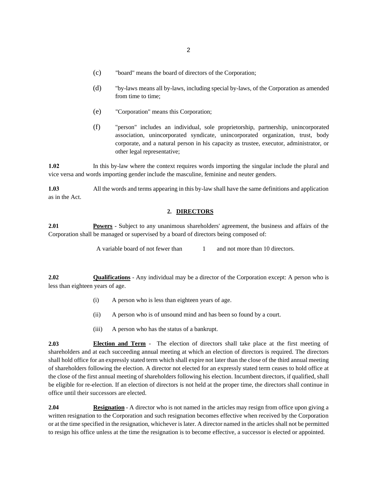- (c) "board" means the board of directors of the Corporation;
- (d) "by-laws means all by-laws, including special by-laws, of the Corporation as amended from time to time;
- (e) "Corporation" means this Corporation;
- (f) "person" includes an individual, sole proprietorship, partnership, unincorporated association, unincorporated syndicate, unincorporated organization, trust, body corporate, and a natural person in his capacity as trustee, executor, administrator, or other legal representative;

**1.02** In this by-law where the context requires words importing the singular include the plural and vice versa and words importing gender include the masculine, feminine and neuter genders.

**1.03** All the words and terms appearing in this by-law shall have the same definitions and application as in the Act.

#### **2. DIRECTORS**

**2.01 Powers** - Subject to any unanimous shareholders' agreement, the business and affairs of the Corporation shall be managed or supervised by a board of directors being composed of:

A variable board of not fewer than 1 and not more than 10 directors.

**2.02 Qualifications** - Any individual may be a director of the Corporation except: A person who is less than eighteen years of age.

- (i) A person who is less than eighteen years of age.
- (ii) A person who is of unsound mind and has been so found by a court.
- (iii) A person who has the status of a bankrupt.

**2.03 Election and Term** - The election of directors shall take place at the first meeting of shareholders and at each succeeding annual meeting at which an election of directors is required. The directors shall hold office for an expressly stated term which shall expire not later than the close of the third annual meeting of shareholders following the election. A director not elected for an expressly stated term ceases to hold office at the close of the first annual meeting of shareholders following his election. Incumbent directors, if qualified, shall be eligible for re-election. If an election of directors is not held at the proper time, the directors shall continue in office until their successors are elected.

**2.04 Resignation** - A director who is not named in the articles may resign from office upon giving a written resignation to the Corporation and such resignation becomes effective when received by the Corporation or at the time specified in the resignation, whichever is later. A director named in the articles shall not be permitted to resign his office unless at the time the resignation is to become effective, a successor is elected or appointed.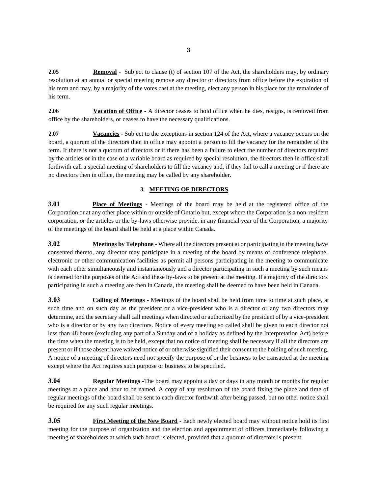**2.05 Removal** - Subject to clause (t) of section 107 of the Act, the shareholders may, by ordinary resolution at an annual or special meeting remove any director or directors from office before the expiration of his term and may, by a majority of the votes cast at the meeting, elect any person in his place for the remainder of his term.

**2.06 Vacation of Office** - A director ceases to hold office when he dies, resigns, is removed from office by the shareholders, or ceases to have the necessary qualifications.

**2.07 Vacancies** - Subject to the exceptions in section 124 of the Act, where a vacancy occurs on the board, a quorum of the directors then in office may appoint a person to fill the vacancy for the remainder of the term. If there is not a quorum of directors or if there has been a failure to elect the number of directors required by the articles or in the case of a variable board as required by special resolution, the directors then in office shall forthwith call a special meeting of shareholders to fill the vacancy and, if they fail to call a meeting or if there are no directors then in office, the meeting may be called by any shareholder.

#### **3. MEETING OF DIRECTORS**

**3.01 Place of Meetings** - Meetings of the board may be held at the registered office of the Corporation or at any other place within or outside of Ontario but, except where the Corporation is a non-resident corporation, or the articles or the by-laws otherwise provide, in any financial year of the Corporation, a majority of the meetings of the board shall be held at a place within Canada.

**3.02 Meetings by Telephone** - Where all the directors present at or participating in the meeting have consented thereto, any director may participate in a meeting of the board by means of conference telephone, electronic or other communication facilities as permit all persons participating in the meeting to communicate with each other simultaneously and instantaneously and a director participating in such a meeting by such means is deemed for the purposes of the Act and these by-laws to be present at the meeting. If a majority of the directors participating in such a meeting are then in Canada, the meeting shall be deemed to have been held in Canada.

**3.03 Calling of Meetings** - Meetings of the board shall be held from time to time at such place, at such time and on such day as the president or a vice-president who is a director or any two directors may determine, and the secretary shall call meetings when directed or authorized by the president of by a vice-president who is a director or by any two directors. Notice of every meeting so called shall be given to each director not less than 48 hours (excluding any part of a Sunday and of a holiday as defined by the Interpretation Act) before the time when the meeting is to be held, except that no notice of meeting shall be necessary if all the directors are present or if those absent have waived notice of or otherwise signified their consent to the holding of such meeting. A notice of a meeting of directors need not specify the purpose of or the business to be transacted at the meeting except where the Act requires such purpose or business to be specified.

**3.04 Regular Meetings** -The board may appoint a day or days in any month or months for regular meetings at a place and hour to be named. A copy of any resolution of the board fixing the place and time of regular meetings of the board shall be sent to each director forthwith after being passed, but no other notice shall be required for any such regular meetings.

**3.05 First Meeting of the New Board** - Each newly elected board may without notice hold its first meeting for the purpose of organization and the election and appointment of officers immediately following a meeting of shareholders at which such board is elected, provided that a quorum of directors is present.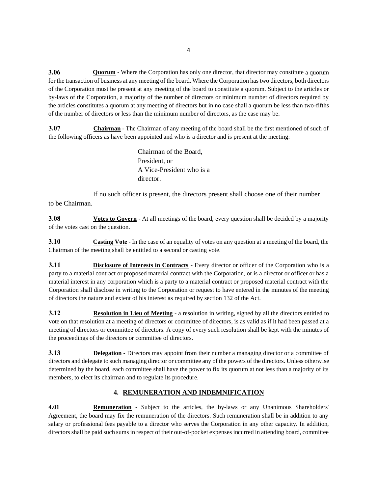**3.06 Quorum** - Where the Corporation has only one director, that director may constitute a quorum for the transaction of business at any meeting of the board. Where the Corporation has two directors, both directors of the Corporation must be present at any meeting of the board to constitute a quorum. Subject to the articles or by-laws of the Corporation, a majority of the number of directors or minimum number of directors required by the articles constitutes a quorum at any meeting of directors but in no case shall a quorum be less than two-fifths of the number of directors or less than the minimum number of directors, as the case may be.

**3.07 Chairman** - The Chairman of any meeting of the board shall be the first mentioned of such of the following officers as have been appointed and who is a director and is present at the meeting:

> Chairman of the Board, President, or A Vice-President who is a director.

If no such officer is present, the directors present shall choose one of their number to be Chairman.

**3.08 Votes to Govern** - At all meetings of the board, every question shall be decided by a majority of the votes cast on the question.

**3.10 Casting Vote** - In the case of an equality of votes on any question at a meeting of the board, the Chairman of the meeting shall be entitled to a second or casting vote.

**3.11 Disclosure of Interests in Contracts** - Every director or officer of the Corporation who is a party to a material contract or proposed material contract with the Corporation, or is a director or officer or has a material interest in any corporation which is a party to a material contract or proposed material contract with the Corporation shall disclose in writing to the Corporation or request to have entered in the minutes of the meeting of directors the nature and extent of his interest as required by section 132 of the Act.

**3.12 Resolution in Lieu of Meeting** - a resolution in writing, signed by all the directors entitled to vote on that resolution at a meeting of directors or committee of directors, is as valid as if it had been passed at a meeting of directors or committee of directors. A copy of every such resolution shall be kept with the minutes of the proceedings of the directors or committee of directors.

**3.13 Delegation** - Directors may appoint from their number a managing director or a committee of directors and delegate to such managing director or committee any of the powers of the directors. Unless otherwise determined by the board, each committee shall have the power to fix its quorum at not less than a majority of its members, to elect its chairman and to regulate its procedure.

## **4. REMUNERATION AND INDEMNIFICATION**

**4.01 Remuneration** - Subject to the articles, the by-laws or any Unanimous Shareholders' Agreement, the board may fix the remuneration of the directors. Such remuneration shall be in addition to any salary or professional fees payable to a director who serves the Corporation in any other capacity. In addition, directors shall be paid such sums in respect of their out-of-pocket expenses incurred in attending board, committee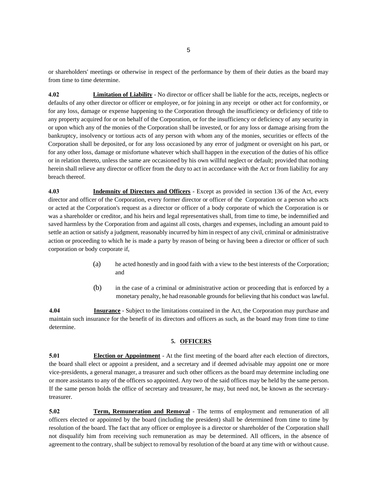or shareholders' meetings or otherwise in respect of the performance by them of their duties as the board may from time to time determine.

**4.02 Limitation of Liability** - No director or officer shall be liable for the acts, receipts, neglects or defaults of any other director or officer or employee, or for joining in any receipt or other act for conformity, or for any loss, damage or expense happening to the Corporation through the insufficiency or deficiency of title to any property acquired for or on behalf of the Corporation, or for the insufficiency or deficiency of any security in or upon which any of the monies of the Corporation shall be invested, or for any loss or damage arising from the bankruptcy, insolvency or tortious acts of any person with whom any of the monies, securities or effects of the Corporation shall be deposited, or for any loss occasioned by any error of judgment or oversight on his part, or for any other loss, damage or misfortune whatever which shall happen in the execution of the duties of his office or in relation thereto, unless the same are occasioned by his own willful neglect or default; provided that nothing herein shall relieve any director or officer from the duty to act in accordance with the Act or from liability for any breach thereof.

**4.03 Indemnity of Directors and Officers** - Except as provided in section 136 of the Act, every director and officer of the Corporation, every former director or officer of the Corporation or a person who acts or acted at the Corporation's request as a director or officer of a body corporate of which the Corporation is or was a shareholder or creditor, and his heirs and legal representatives shall, from time to time, be indemnified and saved harmless by the Corporation from and against all costs, charges and expenses, including an amount paid to settle an action or satisfy a judgment, reasonably incurred by him in respect of any civil, criminal or administrative action or proceeding to which he is made a party by reason of being or having been a director or officer of such corporation or body corporate if,

- (a) he acted honestly and in good faith with a view to the best interests of the Corporation; and
- (b) in the case of a criminal or administrative action or proceeding that is enforced by a monetary penalty, he had reasonable grounds for believing that his conduct was lawful.

**4.04 Insurance** - Subject to the limitations contained in the Act, the Corporation may purchase and maintain such insurance for the benefit of its directors and officers as such, as the board may from time to time determine.

#### **5. OFFICERS**

**5.01 Election or Appointment** - At the first meeting of the board after each election of directors, the board shall elect or appoint a president, and a secretary and if deemed advisable may appoint one or more vice-presidents, a general manager, a treasurer and such other officers as the board may determine including one or more assistants to any of the officers so appointed. Any two of the said offices may be held by the same person. If the same person holds the office of secretary and treasurer, he may, but need not, be known as the secretarytreasurer.

**5.02 Term, Remuneration and Removal** - The terms of employment and remuneration of all officers elected or appointed by the board (including the president) shall be determined from time to time by resolution of the board. The fact that any officer or employee is a director or shareholder of the Corporation shall not disqualify him from receiving such remuneration as may be determined. All officers, in the absence of agreement to the contrary, shall be subject to removal by resolution of the board at any time with or without cause.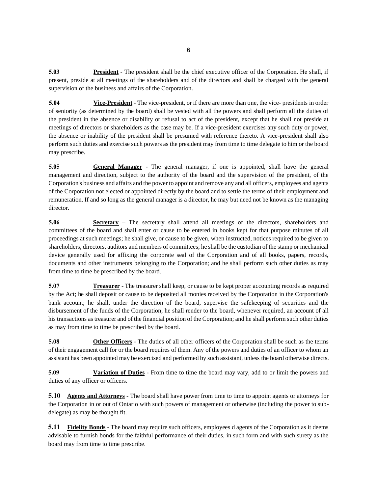**5.03 President** - The president shall be the chief executive officer of the Corporation. He shall, if present, preside at all meetings of the shareholders and of the directors and shall be charged with the general supervision of the business and affairs of the Corporation.

**5.04 Vice-President** - The vice-president, or if there are more than one, the vice- presidents in order of seniority (as determined by the board) shall be vested with all the powers and shall perform all the duties of the president in the absence or disability or refusal to act of the president, except that he shall not preside at meetings of directors or shareholders as the case may be. If a vice-president exercises any such duty or power, the absence or inability of the president shall be presumed with reference thereto. A vice-president shall also perform such duties and exercise such powers as the president may from time to time delegate to him or the board may prescribe.

**5.05 General Manager** - The general manager, if one is appointed, shall have the general management and direction, subject to the authority of the board and the supervision of the president, of the Corporation's business and affairs and the power to appoint and remove any and all officers, employees and agents of the Corporation not elected or appointed directly by the board and to settle the terms of their employment and remuneration. If and so long as the general manager is a director, he may but need not be known as the managing director.

**5.06 Secretary** – The secretary shall attend all meetings of the directors, shareholders and committees of the board and shall enter or cause to be entered in books kept for that purpose minutes of all proceedings at such meetings; he shall give, or cause to be given, when instructed, notices required to be given to shareholders, directors, auditors and members of committees; he shall be the custodian of the stamp or mechanical device generally used for affixing the corporate seal of the Corporation and of all books, papers, records, documents and other instruments belonging to the Corporation; and he shall perform such other duties as may from time to time be prescribed by the board.

**5.07 Treasurer** - The treasurer shall keep, or cause to be kept proper accounting records as required by the Act; he shall deposit or cause to be deposited all monies received by the Corporation in the Corporation's bank account; he shall, under the direction of the board, supervise the safekeeping of securities and the disbursement of the funds of the Corporation; he shall render to the board, whenever required, an account of all his transactions as treasurer and of the financial position of the Corporation; and he shall perform such other duties as may from time to time be prescribed by the board.

**5.08 Other Officers** - The duties of all other officers of the Corporation shall be such as the terms of their engagement call for or the board requires of them. Any of the powers and duties of an officer to whom an assistant has been appointed may be exercised and performed by such assistant, unless the board otherwise directs.

**5.09 Variation of Duties** - From time to time the board may vary, add to or limit the powers and duties of any officer or officers.

**5.10 Agents and Attorneys** - The board shall have power from time to time to appoint agents or attorneys for the Corporation in or out of Ontario with such powers of management or otherwise (including the power to subdelegate) as may be thought fit.

**5.11 Fidelity Bonds** - The board may require such officers, employees d agents of the Corporation as it deems advisable to furnish bonds for the faithful performance of their duties, in such form and with such surety as the board may from time to time prescribe.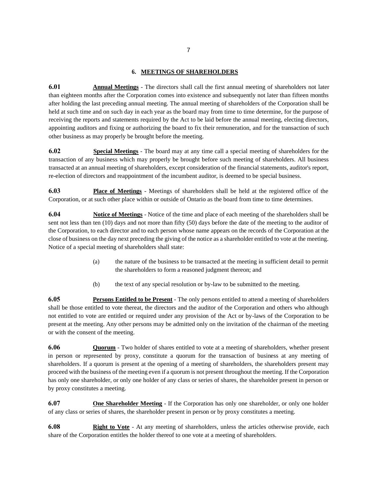#### **6. MEETINGS OF SHAREHOLDERS**

**6.01 Annual Meetings** - The directors shall call the first annual meeting of shareholders not later than eighteen months after the Corporation comes into existence and subsequently not later than fifteen months after holding the last preceding annual meeting. The annual meeting of shareholders of the Corporation shall be held at such time and on such day in each year as the board may from time to time determine, for the purpose of receiving the reports and statements required by the Act to be laid before the annual meeting, electing directors, appointing auditors and fixing or authorizing the board to fix their remuneration, and for the transaction of such other business as may properly be brought before the meeting.

**6.02 Special Meetings** - The board may at any time call a special meeting of shareholders for the transaction of any business which may properly be brought before such meeting of shareholders. All business transacted at an annual meeting of shareholders, except consideration of the financial statements, auditor's report, re-election of directors and reappointment of the incumbent auditor, is deemed to be special business.

**6.03 Place of Meetings** - Meetings of shareholders shall be held at the registered office of the Corporation, or at such other place within or outside of Ontario as the board from time to time determines.

**6.04 Notice of Meetings** - Notice of the time and place of each meeting of the shareholders shall be sent not less than ten (10) days and not more than fifty (50) days before the date of the meeting to the auditor of the Corporation, to each director and to each person whose name appears on the records of the Corporation at the close of business on the day next preceding the giving of the notice as a shareholder entitled to vote at the meeting. Notice of a special meeting of shareholders shall state:

- (a) the nature of the business to be transacted at the meeting in sufficient detail to permit the shareholders to form a reasoned judgment thereon; and
- (b) the text of any special resolution or by-law to be submitted to the meeting.

**6.05 Persons Entitled to be Present** - The only persons entitled to attend a meeting of shareholders shall be those entitled to vote thereat, the directors and the auditor of the Corporation and others who although not entitled to vote are entitled or required under any provision of the Act or by-laws of the Corporation to be present at the meeting. Any other persons may be admitted only on the invitation of the chairman of the meeting or with the consent of the meeting.

**6.06 Quorum** - Two holder of shares entitled to vote at a meeting of shareholders, whether present in person or represented by proxy, constitute a quorum for the transaction of business at any meeting of shareholders. If a quorum is present at the opening of a meeting of shareholders, the shareholders present may proceed with the business of the meeting even if a quorum is not present throughout the meeting. If the Corporation has only one shareholder, or only one holder of any class or series of shares, the shareholder present in person or by proxy constitutes a meeting.

**6.07 One Shareholder Meeting** - If the Corporation has only one shareholder, or only one holder of any class or series of shares, the shareholder present in person or by proxy constitutes a meeting.

**6.08 Right to Vote** - At any meeting of shareholders, unless the articles otherwise provide, each share of the Corporation entitles the holder thereof to one vote at a meeting of shareholders.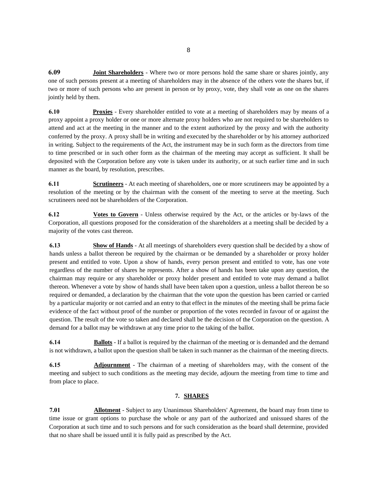**6.09 Joint Shareholders** - Where two or more persons hold the same share or shares jointly, any one of such persons present at a meeting of shareholders may in the absence of the others vote the shares but, if two or more of such persons who are present in person or by proxy, vote, they shall vote as one on the shares jointly held by them.

**6.10 Proxies** - Every shareholder entitled to vote at a meeting of shareholders may by means of a proxy appoint a proxy holder or one or more alternate proxy holders who are not required to be shareholders to attend and act at the meeting in the manner and to the extent authorized by the proxy and with the authority conferred by the proxy. A proxy shall be in writing and executed by the shareholder or by his attorney authorized in writing. Subject to the requirements of the Act, the instrument may be in such form as the directors from time to time prescribed or in such other form as the chairman of the meeting may accept as sufficient. It shall be deposited with the Corporation before any vote is taken under its authority, or at such earlier time and in such manner as the board, by resolution, prescribes.

**6.11 Scrutineers** - At each meeting of shareholders, one or more scrutineers may be appointed by a resolution of the meeting or by the chairman with the consent of the meeting to serve at the meeting. Such scrutineers need not be shareholders of the Corporation.

**6.12 Votes to Govern** - Unless otherwise required by the Act, or the articles or by-laws of the Corporation, all questions proposed for the consideration of the shareholders at a meeting shall be decided by a majority of the votes cast thereon.

**6.13 Show of Hands** - At all meetings of shareholders every question shall be decided by a show of hands unless a ballot thereon be required by the chairman or be demanded by a shareholder or proxy holder present and entitled to vote. Upon a show of hands, every person present and entitled to vote, has one vote regardless of the number of shares he represents. After a show of hands has been take upon any question, the chairman may require or any shareholder or proxy holder present and entitled to vote may demand a ballot thereon. Whenever a vote by show of hands shall have been taken upon a question, unless a ballot thereon be so required or demanded, a declaration by the chairman that the vote upon the question has been carried or carried by a particular majority or not carried and an entry to that effect in the minutes of the meeting shall be prima facie evidence of the fact without proof of the number or proportion of the votes recorded in favour of or against the question. The result of the vote so taken and declared shall be the decision of the Corporation on the question. A demand for a ballot may be withdrawn at any time prior to the taking of the ballot.

**6.14 Ballots** - If a ballot is required by the chairman of the meeting or is demanded and the demand is not withdrawn, a ballot upon the question shall be taken in such manner as the chairman of the meeting directs.

**6.15 Adjournment** - The chairman of a meeting of shareholders may, with the consent of the meeting and subject to such conditions as the meeting may decide, adjourn the meeting from time to time and from place to place.

#### **7. SHARES**

**7.01 Allotment** - Subject to any Unanimous Shareholders' Agreement, the board may from time to time issue or grant options to purchase the whole or any part of the authorized and unissued shares of the Corporation at such time and to such persons and for such consideration as the board shall determine, provided that no share shall be issued until it is fully paid as prescribed by the Act.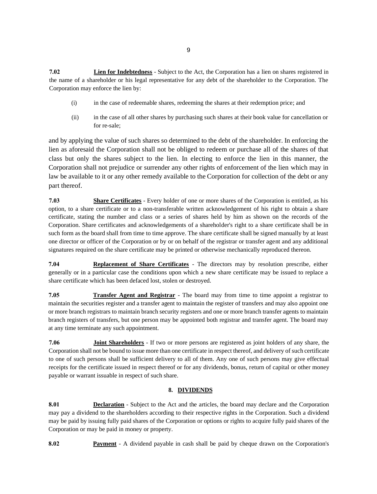**7.02 Lien for Indebtedness** - Subject to the Act, the Corporation has a lien on shares registered in the name of a shareholder or his legal representative for any debt of the shareholder to the Corporation. The Corporation may enforce the lien by:

- (i) in the case of redeemable shares, redeeming the shares at their redemption price; and
- (ii) in the case of all other shares by purchasing such shares at their book value for cancellation or for re-sale;

and by applying the value of such shares so determined to the debt of the shareholder. In enforcing the lien as aforesaid the Corporation shall not be obliged to redeem or purchase all of the shares of that class but only the shares subject to the lien. In electing to enforce the lien in this manner, the Corporation shall not prejudice or surrender any other rights of enforcement of the lien which may in law be available to it or any other remedy available to the Corporation for collection of the debt or any part thereof.

**7.03 Share Certificates** - Every holder of one or more shares of the Corporation is entitled, as his option, to a share certificate or to a non-transferable written acknowledgement of his right to obtain a share certificate, stating the number and class or a series of shares held by him as shown on the records of the Corporation. Share certificates and acknowledgements of a shareholder's right to a share certificate shall be in such form as the board shall from time to time approve. The share certificate shall be signed manually by at least one director or officer of the Corporation or by or on behalf of the registrar or transfer agent and any additional signatures required on the share certificate may be printed or otherwise mechanically reproduced thereon.

**7.04 Replacement of Share Certificates** - The directors may by resolution prescribe, either generally or in a particular case the conditions upon which a new share certificate may be issued to replace a share certificate which has been defaced lost, stolen or destroyed.

**7.05 Transfer Agent and Registrar** - The board may from time to time appoint a registrar to maintain the securities register and a transfer agent to maintain the register of transfers and may also appoint one or more branch registrars to maintain branch security registers and one or more branch transfer agents to maintain branch registers of transfers, but one person may be appointed both registrar and transfer agent. The board may at any time terminate any such appointment.

**7.06 Joint Shareholders** - If two or more persons are registered as joint holders of any share, the Corporation shall not be bound to issue more than one certificate in respect thereof, and delivery of such certificate to one of such persons shall be sufficient delivery to all of them. Any one of such persons may give effectual receipts for the certificate issued in respect thereof or for any dividends, bonus, return of capital or other money payable or warrant issuable in respect of such share.

#### **8. DIVIDENDS**

**8.01 Declaration** - Subject to the Act and the articles, the board may declare and the Corporation may pay a dividend to the shareholders according to their respective rights in the Corporation. Such a dividend may be paid by issuing fully paid shares of the Corporation or options or rights to acquire fully paid shares of the Corporation or may be paid in money or property.

**8.02 Payment** - A dividend payable in cash shall be paid by cheque drawn on the Corporation's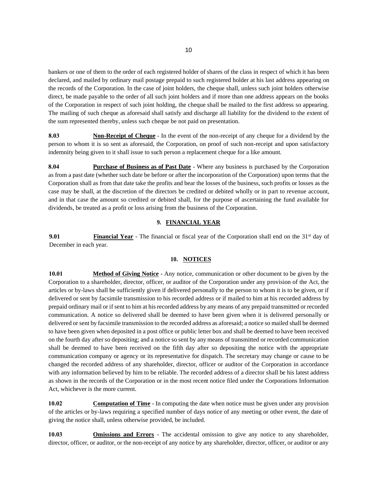bankers or one of them to the order of each registered holder of shares of the class in respect of which it has been declared, and mailed by ordinary mail postage prepaid to such registered holder at his last address appearing on the records of the Corporation. In the case of joint holders, the cheque shall, unless such joint holders otherwise direct, be made payable to the order of all such joint holders and if more than one address appears on the books of the Corporation in respect of such joint holding, the cheque shall be mailed to the first address so appearing. The mailing of such cheque as aforesaid shall satisfy and discharge all liability for the dividend to the extent of the sum represented thereby, unless such cheque be not paid on presentation.

**8.03 Non-Receipt of Cheque** - In the event of the non-receipt of any cheque for a dividend by the person to whom it is so sent as aforesaid, the Corporation, on proof of such non-receipt and upon satisfactory indemnity being given to it shall issue to such person a replacement cheque for a like amount.

**8.04 Purchase of Business as of Past Date** - Where any business is purchased by the Corporation as from a past date (whether such date be before or after the incorporation of the Corporation) upon terms that the Corporation shall as from that date take the profits and bear the losses of the business, such profits or losses as the case may be shall, at the discretion of the directors be credited or debited wholly or in part to revenue account, and in that case the amount so credited or debited shall, for the purpose of ascertaining the fund available for dividends, be treated as a profit or loss arising from the business of the Corporation.

#### **9. FINANCIAL YEAR**

**9.01 Financial Year** - The financial or fiscal year of the Corporation shall end on the 31<sup>st</sup> day of December in each year.

#### **10. NOTICES**

**10.01 Method of Giving Notice** - Any notice, communication or other document to be given by the Corporation to a shareholder, director, officer, or auditor of the Corporation under any provision of the Act, the articles or by-laws shall be sufficiently given if delivered personally to the person to whom it is to be given, or if delivered or sent by facsimile transmission to his recorded address or if mailed to him at his recorded address by prepaid ordinary mail or if sent to him at his recorded address by any means of any prepaid transmitted or recorded communication. A notice so delivered shall be deemed to have been given when it is delivered personally or delivered or sent by facsimile transmission to the recorded address as aforesaid; a notice so mailed shall be deemed to have been given when deposited in a post office or public letter box and shall be deemed to have been received on the fourth day after so depositing; and a notice so sent by any means of transmitted or recorded communication shall be deemed to have been received on the fifth day after so depositing the notice with the appropriate communication company or agency or its representative for dispatch. The secretary may change or cause to be changed the recorded address of any shareholder, director, officer or auditor of the Corporation in accordance with any information believed by him to be reliable. The recorded address of a director shall be his latest address as shown in the records of the Corporation or in the most recent notice filed under the Corporations Information Act, whichever is the more current.

**10.02 Computation of Time** - In computing the date when notice must be given under any provision of the articles or by-laws requiring a specified number of days notice of any meeting or other event, the date of giving the notice shall, unless otherwise provided, be included.

**10.03 Omissions and Errors** - The accidental omission to give any notice to any shareholder, director, officer, or auditor, or the non-receipt of any notice by any shareholder, director, officer, or auditor or any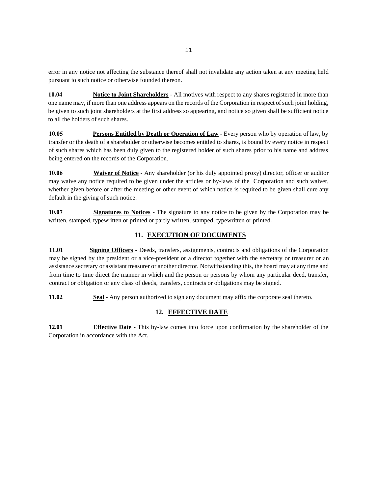error in any notice not affecting the substance thereof shall not invalidate any action taken at any meeting held pursuant to such notice or otherwise founded thereon.

**10.04 Notice to Joint Shareholders** - All motives with respect to any shares registered in more than one name may, if more than one address appears on the records of the Corporation in respect of such joint holding, be given to such joint shareholders at the first address so appearing, and notice so given shall be sufficient notice to all the holders of such shares.

**10.05 Persons Entitled by Death or Operation of Law** - Every person who by operation of law, by transfer or the death of a shareholder or otherwise becomes entitled to shares, is bound by every notice in respect of such shares which has been duly given to the registered holder of such shares prior to his name and address being entered on the records of the Corporation.

**10.06 Waiver of Notice** - Any shareholder (or his duly appointed proxy) director, officer or auditor may waive any notice required to be given under the articles or by-laws of the Corporation and such waiver, whether given before or after the meeting or other event of which notice is required to be given shall cure any default in the giving of such notice.

**10.07 Signatures to Notices** - The signature to any notice to be given by the Corporation may be written, stamped, typewritten or printed or partly written, stamped, typewritten or printed.

#### **11. EXECUTION OF DOCUMENTS**

**11.01 Signing Officers** - Deeds, transfers, assignments, contracts and obligations of the Corporation may be signed by the president or a vice-president or a director together with the secretary or treasurer or an assistance secretary or assistant treasurer or another director. Notwithstanding this, the board may at any time and from time to time direct the manner in which and the person or persons by whom any particular deed, transfer, contract or obligation or any class of deeds, transfers, contracts or obligations may be signed.

**11.02 Seal** - Any person authorized to sign any document may affix the corporate seal thereto.

#### **12. EFFECTIVE DATE**

**12.01 Effective Date** - This by-law comes into force upon confirmation by the shareholder of the Corporation in accordance with the Act.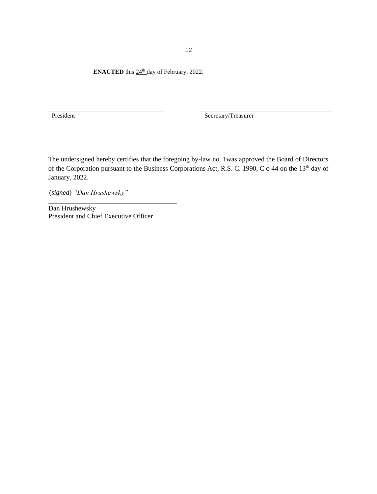**ENACTED** this  $24^{\text{th}}$  day of February, 2022.

President Secretary/Treasurer

The undersigned hereby certifies that the foregoing by-law no. 1was approved the Board of Directors of the Corporation pursuant to the Business Corporations Act, R.S. C. 1990, C c-44 on the 13<sup>th</sup> day of January, 2022.

(*signed*) *"Dan Hrushewsky"*

Dan Hrushewsky President and Chief Executive Officer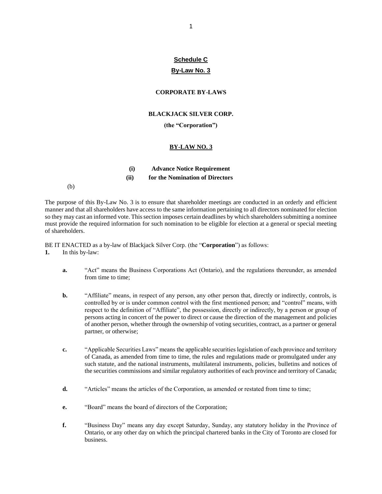# **Schedule C**

## **By-Law No. 3**

#### **CORPORATE BY-LAWS**

#### **BLACKJACK SILVER CORP.**

#### **(the "Corporation")**

#### **BY-LAW NO. 3**

| (i)  | <b>Advance Notice Requirement</b> |
|------|-----------------------------------|
| (ii) | for the Nomination of Directors   |

(b)

The purpose of this By-Law No. 3 is to ensure that shareholder meetings are conducted in an orderly and efficient manner and that all shareholders have access to the same information pertaining to all directors nominated for election so they may cast an informed vote. This section imposes certain deadlines by which shareholders submitting a nominee must provide the required information for such nomination to be eligible for election at a general or special meeting of shareholders.

BE IT ENACTED as a by-law of Blackjack Silver Corp. (the "**Corporation**") as follows: **1.** In this by-law:

- **a.** "Act" means the Business Corporations Act (Ontario), and the regulations thereunder, as amended from time to time;
- **b.** "Affiliate" means, in respect of any person, any other person that, directly or indirectly, controls, is controlled by or is under common control with the first mentioned person; and "control" means, with respect to the definition of "Affiliate", the possession, directly or indirectly, by a person or group of persons acting in concert of the power to direct or cause the direction of the management and policies of another person, whether through the ownership of voting securities, contract, as a partner or general partner, or otherwise;
- **c.** "Applicable Securities Laws" means the applicable securities legislation of each province and territory of Canada, as amended from time to time, the rules and regulations made or promulgated under any such statute, and the national instruments, multilateral instruments, policies, bulletins and notices of the securities commissions and similar regulatory authorities of each province and territory of Canada;
- **d.** "Articles" means the articles of the Corporation, as amended or restated from time to time;
- **e.** "Board" means the board of directors of the Corporation;
- **f.** "Business Day" means any day except Saturday, Sunday, any statutory holiday in the Province of Ontario, or any other day on which the principal chartered banks in the City of Toronto are closed for business.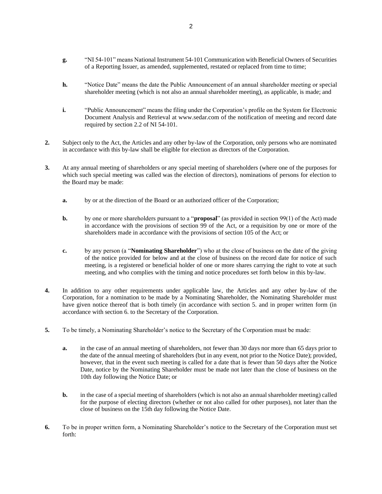- **g.** "NI 54-101" means National Instrument 54-101 Communication with Beneficial Owners of Securities of a Reporting Issuer, as amended, supplemented, restated or replaced from time to time;
- **h.** "Notice Date" means the date the Public Announcement of an annual shareholder meeting or special shareholder meeting (which is not also an annual shareholder meeting), as applicable, is made; and
- **i.** "Public Announcement" means the filing under the Corporation's profile on the System for Electronic Document Analysis and Retrieval at www.sedar.com of the notification of meeting and record date required by section 2.2 of NI 54-101.
- **2.** Subject only to the Act, the Articles and any other by-law of the Corporation, only persons who are nominated in accordance with this by-law shall be eligible for election as directors of the Corporation.
- **3.** At any annual meeting of shareholders or any special meeting of shareholders (where one of the purposes for which such special meeting was called was the election of directors), nominations of persons for election to the Board may be made:
	- **a.** by or at the direction of the Board or an authorized officer of the Corporation;
	- **b.** by one or more shareholders pursuant to a "**proposal**" (as provided in section 99(1) of the Act) made in accordance with the provisions of section 99 of the Act, or a requisition by one or more of the shareholders made in accordance with the provisions of section 105 of the Act; or
	- **c.** by any person (a "**Nominating Shareholder**") who at the close of business on the date of the giving of the notice provided for below and at the close of business on the record date for notice of such meeting, is a registered or beneficial holder of one or more shares carrying the right to vote at such meeting, and who complies with the timing and notice procedures set forth below in this by-law.
- **4.** In addition to any other requirements under applicable law, the Articles and any other by-law of the Corporation, for a nomination to be made by a Nominating Shareholder, the Nominating Shareholder must have given notice thereof that is both timely (in accordance with section 5. and in proper written form (in accordance with section 6. to the Secretary of the Corporation.
- **5.** To be timely, a Nominating Shareholder's notice to the Secretary of the Corporation must be made:
	- **a.** in the case of an annual meeting of shareholders, not fewer than 30 days nor more than 65 days prior to the date of the annual meeting of shareholders (but in any event, not prior to the Notice Date); provided, however, that in the event such meeting is called for a date that is fewer than 50 days after the Notice Date, notice by the Nominating Shareholder must be made not later than the close of business on the 10th day following the Notice Date; or
	- **b.** in the case of a special meeting of shareholders (which is not also an annual shareholder meeting) called for the purpose of electing directors (whether or not also called for other purposes), not later than the close of business on the 15th day following the Notice Date.
- **6.** To be in proper written form, a Nominating Shareholder's notice to the Secretary of the Corporation must set forth: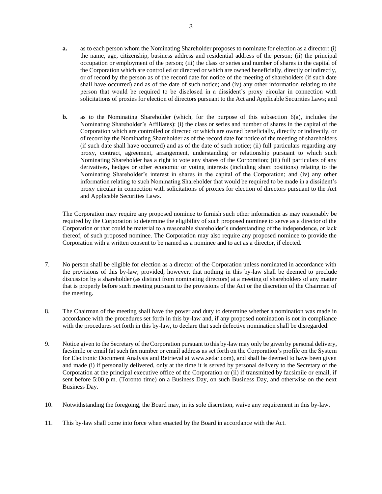- **a.** as to each person whom the Nominating Shareholder proposes to nominate for election as a director: (i) the name, age, citizenship, business address and residential address of the person; (ii) the principal occupation or employment of the person; (iii) the class or series and number of shares in the capital of the Corporation which are controlled or directed or which are owned beneficially, directly or indirectly, or of record by the person as of the record date for notice of the meeting of shareholders (if such date shall have occurred) and as of the date of such notice; and (iv) any other information relating to the person that would be required to be disclosed in a dissident's proxy circular in connection with solicitations of proxies for election of directors pursuant to the Act and Applicable Securities Laws; and
- **b.** as to the Nominating Shareholder (which, for the purpose of this subsection 6(a), includes the Nominating Shareholder's Affiliates): (i) the class or series and number of shares in the capital of the Corporation which are controlled or directed or which are owned beneficially, directly or indirectly, or of record by the Nominating Shareholder as of the record date for notice of the meeting of shareholders (if such date shall have occurred) and as of the date of such notice; (ii) full particulars regarding any proxy, contract, agreement, arrangement, understanding or relationship pursuant to which such Nominating Shareholder has a right to vote any shares of the Corporation; (iii) full particulars of any derivatives, hedges or other economic or voting interests (including short positions) relating to the Nominating Shareholder's interest in shares in the capital of the Corporation; and (iv) any other information relating to such Nominating Shareholder that would be required to be made in a dissident's proxy circular in connection with solicitations of proxies for election of directors pursuant to the Act and Applicable Securities Laws.

The Corporation may require any proposed nominee to furnish such other information as may reasonably be required by the Corporation to determine the eligibility of such proposed nominee to serve as a director of the Corporation or that could be material to a reasonable shareholder's understanding of the independence, or lack thereof, of such proposed nominee. The Corporation may also require any proposed nominee to provide the Corporation with a written consent to be named as a nominee and to act as a director, if elected.

- 7. No person shall be eligible for election as a director of the Corporation unless nominated in accordance with the provisions of this by-law; provided, however, that nothing in this by-law shall be deemed to preclude discussion by a shareholder (as distinct from nominating directors) at a meeting of shareholders of any matter that is properly before such meeting pursuant to the provisions of the Act or the discretion of the Chairman of the meeting.
- 8. The Chairman of the meeting shall have the power and duty to determine whether a nomination was made in accordance with the procedures set forth in this by-law and, if any proposed nomination is not in compliance with the procedures set forth in this by-law, to declare that such defective nomination shall be disregarded.
- 9. Notice given to the Secretary of the Corporation pursuant to this by-law may only be given by personal delivery, facsimile or email (at such fax number or email address as set forth on the Corporation's profile on the System for Electronic Document Analysis and Retrieval at www.sedar.com), and shall be deemed to have been given and made (i) if personally delivered, only at the time it is served by personal delivery to the Secretary of the Corporation at the principal executive office of the Corporation or (ii) if transmitted by facsimile or email, if sent before 5:00 p.m. (Toronto time) on a Business Day, on such Business Day, and otherwise on the next Business Day.
- 10. Notwithstanding the foregoing, the Board may, in its sole discretion, waive any requirement in this by-law.
- 11. This by-law shall come into force when enacted by the Board in accordance with the Act.